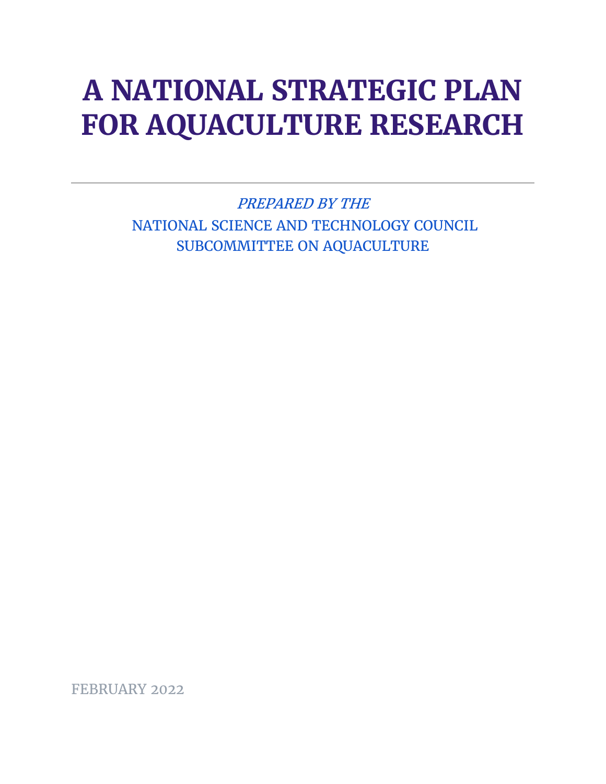# **A NATIONAL STRATEGIC PLAN FOR AQUACULTURE RESEARCH**

PREPARED BY THE NATIONAL SCIENCE AND TECHNOLOGY COUNCIL SUBCOMMITTEE ON AQUACULTURE

FEBRUARY 2022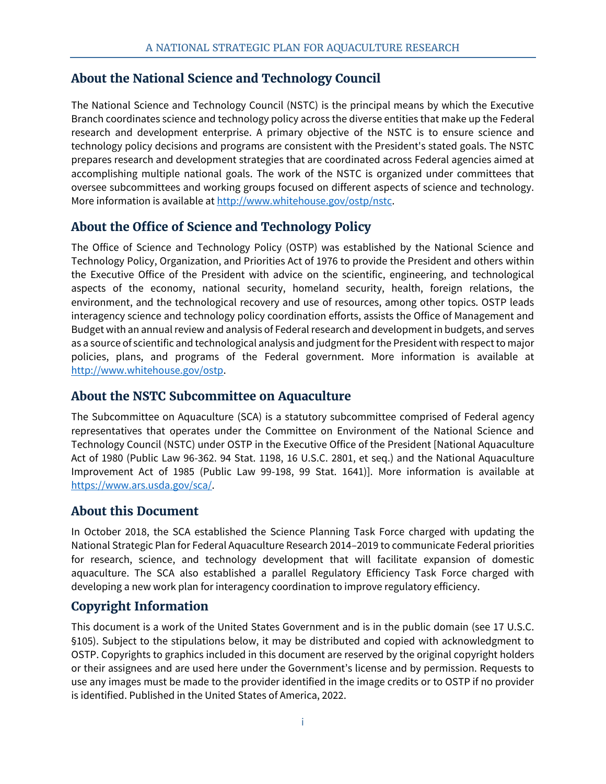# **About the National Science and Technology Council**

The National Science and Technology Council (NSTC) is the principal means by which the Executive Branch coordinates science and technology policy across the diverse entities that make up the Federal research and development enterprise. A primary objective of the NSTC is to ensure science and technology policy decisions and programs are consistent with the President's stated goals. The NSTC prepares research and development strategies that are coordinated across Federal agencies aimed at accomplishing multiple national goals. The work of the NSTC is organized under committees that oversee subcommittees and working groups focused on different aspects of science and technology. More information is available at [http://www.whitehouse.gov/ostp/nstc.](http://www.whitehouse.gov/ostp/nstc)

# **About the Office of Science and Technology Policy**

The Office of Science and Technology Policy (OSTP) was established by the National Science and Technology Policy, Organization, and Priorities Act of 1976 to provide the President and others within the Executive Office of the President with advice on the scientific, engineering, and technological aspects of the economy, national security, homeland security, health, foreign relations, the environment, and the technological recovery and use of resources, among other topics. OSTP leads interagency science and technology policy coordination efforts, assists the Office of Management and Budget with an annual review and analysis of Federal research and development in budgets, and serves as a source of scientific and technological analysis and judgment for the President with respect to major policies, plans, and programs of the Federal government. More information is available at [http://www.whitehouse.gov/ostp.](http://www.whitehouse.gov/ostp)

#### **About the NSTC Subcommittee on Aquaculture**

The Subcommittee on Aquaculture (SCA) is a statutory subcommittee comprised of Federal agency representatives that operates under the Committee on Environment of the National Science and Technology Council (NSTC) under OSTP in the Executive Office of the President [National Aquaculture Act of 1980 (Public Law 96-362. 94 Stat. 1198, 16 U.S.C. 2801, et seq.) and the National Aquaculture Improvement Act of 1985 (Public Law 99-198, 99 Stat. 1641)]. More information is available at [https://www.ars.usda.gov/sca/.](https://www.ars.usda.gov/sca/)

#### **About this Document**

In October 2018, the SCA established the Science Planning Task Force charged with updating the National Strategic Plan for Federal Aquaculture Research 2014–2019 to communicate Federal priorities for research, science, and technology development that will facilitate expansion of domestic aquaculture. The SCA also established a parallel Regulatory Efficiency Task Force charged with developing a new work plan for interagency coordination to improve regulatory efficiency.

# **Copyright Information**

This document is a work of the United States Government and is in the public domain (see 17 U.S.C. §105). Subject to the stipulations below, it may be distributed and copied with acknowledgment to OSTP. Copyrights to graphics included in this document are reserved by the original copyright holders or their assignees and are used here under the Government's license and by permission. Requests to use any images must be made to the provider identified in the image credits or to OSTP if no provider is identified. Published in the United States of America, 2022.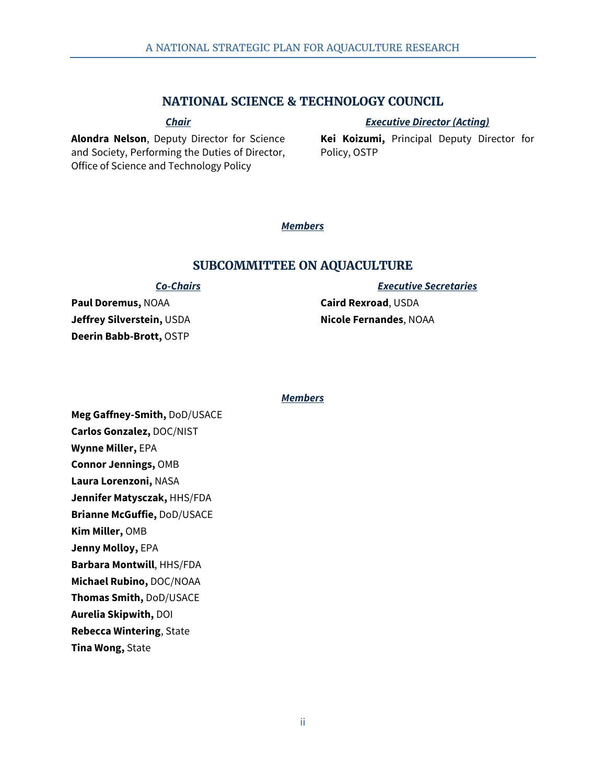#### **NATIONAL SCIENCE & TECHNOLOGY COUNCIL**

*Chair*

*Executive Director (Acting)*

**Alondra Nelson**, Deputy Director for Science and Society, Performing the Duties of Director, Office of Science and Technology Policy

**Kei Koizumi,** Principal Deputy Director for Policy, OSTP

#### *Members*

#### **SUBCOMMITTEE ON AQUACULTURE**

#### *Co-Chairs*

**Paul Doremus,** NOAA **Jeffrey Silverstein,** USDA **Deerin Babb-Brott,** OSTP

*Executive Secretaries*

**Caird Rexroad**, USDA **Nicole Fernandes**, NOAA

#### *Members*

**Meg Gaffney-Smith,** DoD/USACE **Carlos Gonzalez,** DOC/NIST **Wynne Miller,** EPA **Connor Jennings,** OMB **Laura Lorenzoni,** NASA **Jennifer Matysczak,** HHS/FDA **Brianne McGuffie,** DoD/USACE **Kim Miller,** OMB **Jenny Molloy,** EPA **Barbara Montwill**, HHS/FDA **Michael Rubino,** DOC/NOAA **Thomas Smith,** DoD/USACE **Aurelia Skipwith,** DOI **Rebecca Wintering**, State **Tina Wong,** State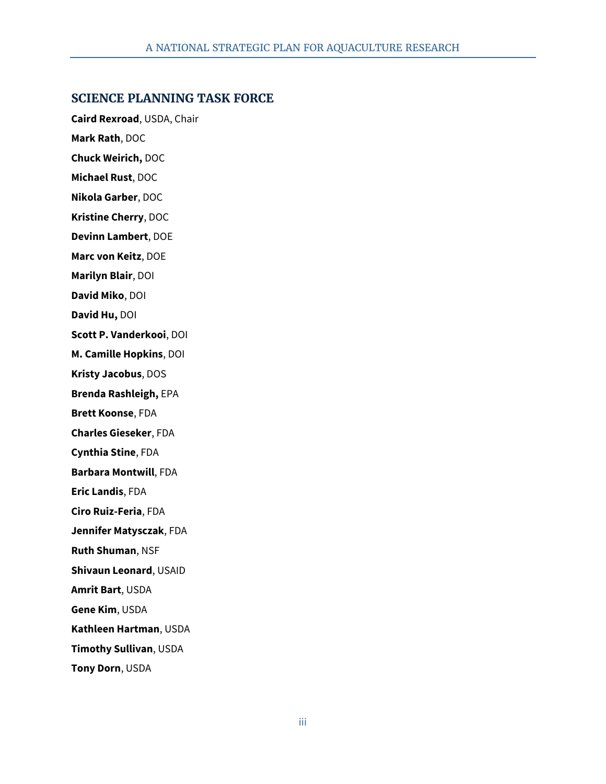#### **SCIENCE PLANNING TASK FORCE**

**Caird Rexroad**, USDA, Chair **Mark Rath**, DOC **Chuck Weirich,** DOC **Michael Rust**, DOC **Nikola Garber**, DOC **Kristine Cherry**, DOC **Devinn Lambert**, DOE **Marc von Keitz**, DOE **Marilyn Blair**, DOI **David Miko**, DOI **David Hu,** DOI **Scott P. Vanderkooi**, DOI **M. Camille Hopkins**, DOI **Kristy Jacobus**, DOS **Brenda Rashleigh,** EPA **Brett Koonse**, FDA **Charles Gieseker**, FDA **Cynthia Stine**, FDA **Barbara Montwill**, FDA **Eric Landis**, FDA **Ciro Ruiz-Feria**, FDA **Jennifer Matysczak**, FDA **Ruth Shuman**, NSF **Shivaun Leonard**, USAID **Amrit Bart**, USDA **Gene Kim**, USDA **Kathleen Hartman**, USDA **Timothy Sullivan**, USDA **Tony Dorn**, USDA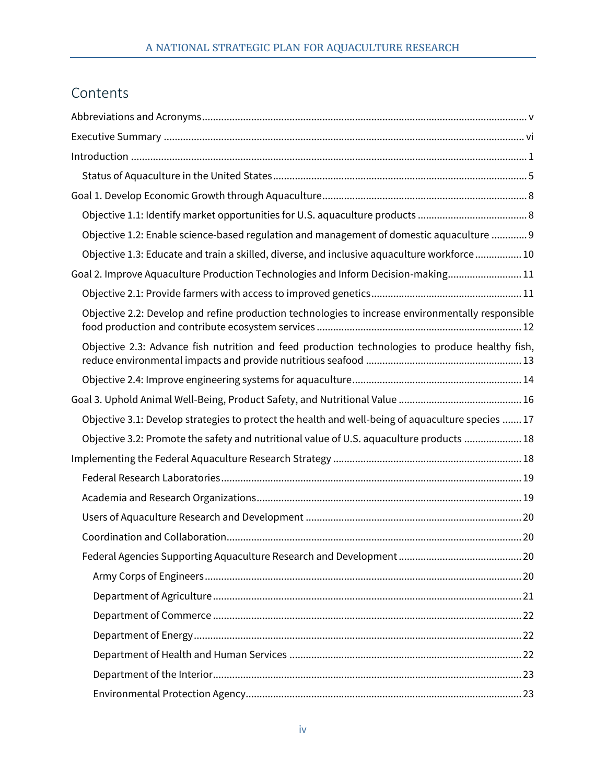# Contents

| Objective 1.2: Enable science-based regulation and management of domestic aquaculture  9          |
|---------------------------------------------------------------------------------------------------|
| Objective 1.3: Educate and train a skilled, diverse, and inclusive aquaculture workforce 10       |
| Goal 2. Improve Aquaculture Production Technologies and Inform Decision-making 11                 |
|                                                                                                   |
| Objective 2.2: Develop and refine production technologies to increase environmentally responsible |
| Objective 2.3: Advance fish nutrition and feed production technologies to produce healthy fish,   |
|                                                                                                   |
|                                                                                                   |
| Objective 3.1: Develop strategies to protect the health and well-being of aquaculture species  17 |
| Objective 3.2: Promote the safety and nutritional value of U.S. aquaculture products  18          |
|                                                                                                   |
|                                                                                                   |
|                                                                                                   |
|                                                                                                   |
|                                                                                                   |
|                                                                                                   |
|                                                                                                   |
|                                                                                                   |
|                                                                                                   |
|                                                                                                   |
|                                                                                                   |
|                                                                                                   |
|                                                                                                   |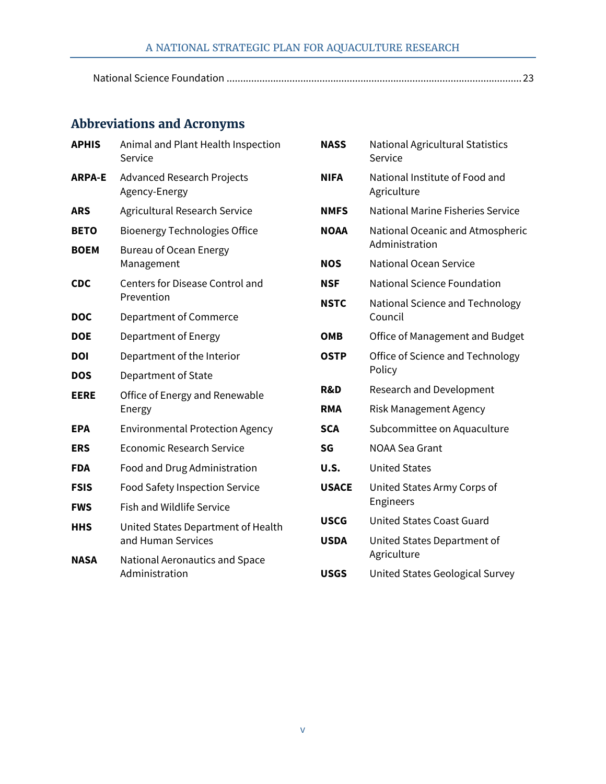# A NATIONAL STRATEGIC PLAN FOR AQUACULTURE RESEARCH

# <span id="page-5-0"></span>**Abbreviations and Acronyms**

| <b>APHIS</b>  | Animal and Plant Health Inspection<br>Service            |
|---------------|----------------------------------------------------------|
| <b>ARPA-E</b> | <b>Advanced Research Projects</b><br>Agency-Energy       |
| <b>ARS</b>    | <b>Agricultural Research Service</b>                     |
| <b>BETO</b>   | <b>Bioenergy Technologies Office</b>                     |
| <b>BOEM</b>   | <b>Bureau of Ocean Energy</b><br>Management              |
| <b>CDC</b>    | <b>Centers for Disease Control and</b><br>Prevention     |
| <b>DOC</b>    | Department of Commerce                                   |
| <b>DOE</b>    | Department of Energy                                     |
| <b>DOI</b>    | Department of the Interior                               |
| <b>DOS</b>    | Department of State                                      |
| <b>EERE</b>   | Office of Energy and Renewable<br>Energy                 |
| <b>EPA</b>    | <b>Environmental Protection Agency</b>                   |
| <b>ERS</b>    | <b>Economic Research Service</b>                         |
| <b>FDA</b>    | Food and Drug Administration                             |
| <b>FSIS</b>   | <b>Food Safety Inspection Service</b>                    |
| <b>FWS</b>    | <b>Fish and Wildlife Service</b>                         |
| <b>HHS</b>    | United States Department of Health<br>and Human Services |
| <b>NASA</b>   | National Aeronautics and Space<br>Administration         |

| <b>NASS</b>    | <b>National Agricultural Statistics</b><br>Service |
|----------------|----------------------------------------------------|
| <b>NIFA</b>    | National Institute of Food and<br>Agriculture      |
| <b>NMFS</b>    | National Marine Fisheries Service                  |
| <b>NOAA</b>    | National Oceanic and Atmospheric<br>Administration |
| <b>NOS</b>     | <b>National Ocean Service</b>                      |
| NSF            | <b>National Science Foundation</b>                 |
| <b>NSTC</b>    | National Science and Technology<br>Council         |
| ОМВ            | Office of Management and Budget                    |
| <b>OSTP</b>    | Office of Science and Technology<br>Policy         |
| <b>R&amp;D</b> | <b>Research and Development</b>                    |
| <b>RMA</b>     | <b>Risk Management Agency</b>                      |
| <b>SCA</b>     | Subcommittee on Aquaculture                        |
| SG             | <b>NOAA Sea Grant</b>                              |
| U.S.           | <b>United States</b>                               |
| <b>USACE</b>   | United States Army Corps of<br><b>Engineers</b>    |
| <b>USCG</b>    | United States Coast Guard                          |
| <b>USDA</b>    | United States Department of<br>Agriculture         |
| <b>USGS</b>    | United States Geological Survey                    |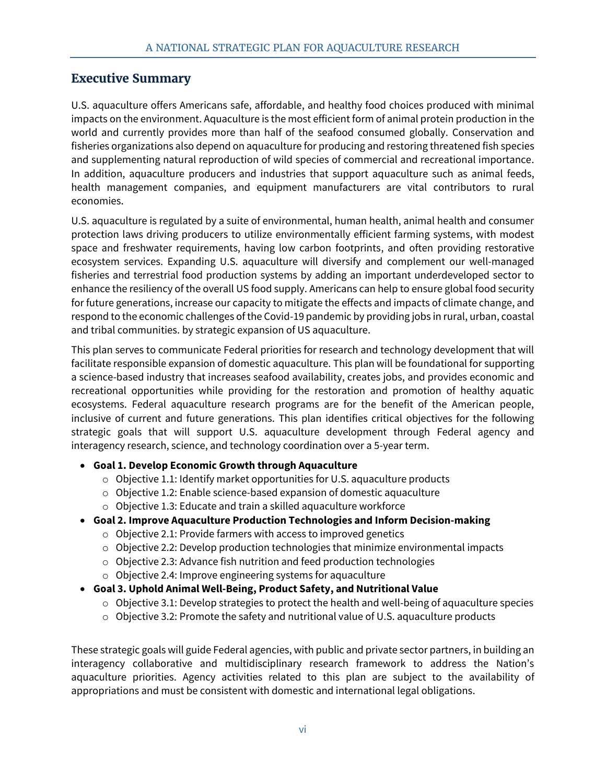#### <span id="page-6-0"></span>**Executive Summary**

U.S. aquaculture offers Americans safe, affordable, and healthy food choices produced with minimal impacts on the environment. Aquaculture is the most efficient form of animal protein production in the world and currently provides more than half of the seafood consumed globally. Conservation and fisheries organizations also depend on aquaculture for producing and restoring threatened fish species and supplementing natural reproduction of wild species of commercial and recreational importance. In addition, aquaculture producers and industries that support aquaculture such as animal feeds, health management companies, and equipment manufacturers are vital contributors to rural economies.

U.S. aquaculture is regulated by a suite of environmental, human health, animal health and consumer protection laws driving producers to utilize environmentally efficient farming systems, with modest space and freshwater requirements, having low carbon footprints, and often providing restorative ecosystem services. Expanding U.S. aquaculture will diversify and complement our well-managed fisheries and terrestrial food production systems by adding an important underdeveloped sector to enhance the resiliency of the overall US food supply. Americans can help to ensure global food security for future generations, increase our capacity to mitigate the effects and impacts of climate change, and respond to the economic challenges of the Covid-19 pandemic by providing jobs in rural, urban, coastal and tribal communities. by strategic expansion of US aquaculture.

This plan serves to communicate Federal priorities for research and technology development that will facilitate responsible expansion of domestic aquaculture. This plan will be foundational for supporting a science-based industry that increases seafood availability, creates jobs, and provides economic and recreational opportunities while providing for the restoration and promotion of healthy aquatic ecosystems. Federal aquaculture research programs are for the benefit of the American people, inclusive of current and future generations. This plan identifies critical objectives for the following strategic goals that will support U.S. aquaculture development through Federal agency and interagency research, science, and technology coordination over a 5-year term.

#### • **Goal 1. Develop Economic Growth through Aquaculture**

- $\circ$  Objective 1.1: Identify market opportunities for U.S. aquaculture products
- o Objective 1.2: Enable science-based expansion of domestic aquaculture
- $\circ$  Objective 1.3: Educate and train a skilled aquaculture workforce
- **Goal 2. Improve Aquaculture Production Technologies and Inform Decision-making**
	- o Objective 2.1: Provide farmers with access to improved genetics
	- $\circ$  Objective 2.2: Develop production technologies that minimize environmental impacts
	- o Objective 2.3: Advance fish nutrition and feed production technologies
	- o Objective 2.4: Improve engineering systems for aquaculture
- **Goal 3. Uphold Animal Well-Being, Product Safety, and Nutritional Value**
	- $\circ$  Objective 3.1: Develop strategies to protect the health and well-being of aquaculture species
	- $\circ$  Objective 3.2: Promote the safety and nutritional value of U.S. aquaculture products

These strategic goals will guide Federal agencies, with public and private sector partners, in building an interagency collaborative and multidisciplinary research framework to address the Nation's aquaculture priorities. Agency activities related to this plan are subject to the availability of appropriations and must be consistent with domestic and international legal obligations.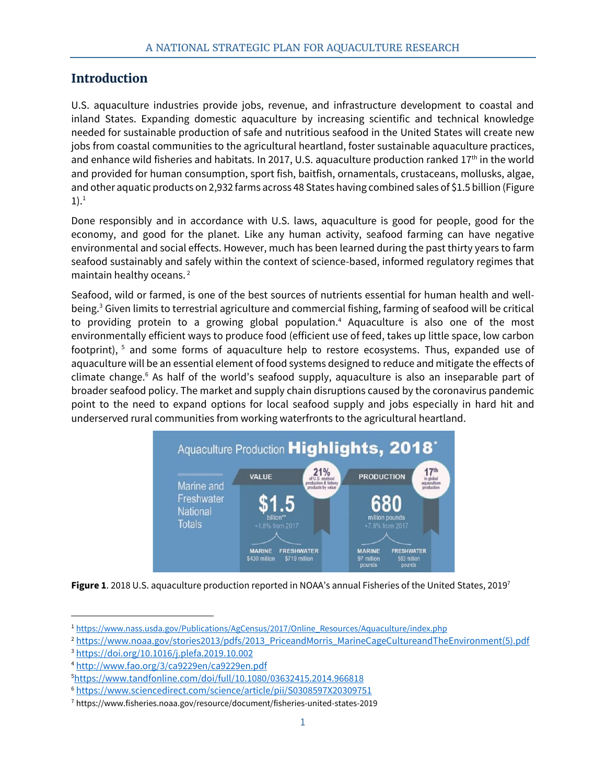#### <span id="page-7-0"></span>**Introduction**

U.S. aquaculture industries provide jobs, revenue, and infrastructure development to coastal and inland States. Expanding domestic aquaculture by increasing scientific and technical knowledge needed for sustainable production of safe and nutritious seafood in the United States will create new jobs from coastal communities to the agricultural heartland, foster sustainable aquaculture practices, and enhance wild fisheries and habitats. In 2017, U.S. aquaculture production ranked  $17<sup>th</sup>$  in the world and provided for human consumption, sport fish, baitfish, ornamentals, crustaceans, mollusks, algae, and other aquatic products on 2,932 farms across 48 States having combined sales of \$1.5 billion (Figure  $1).<sup>1</sup>$ 

Done responsibly and in accordance with U.S. laws, aquaculture is good for people, good for the economy, and good for the planet. Like any human activity, seafood farming can have negative environmental and social effects. However, much has been learned during the past thirty years to farm seafood sustainably and safely within the context of science-based, informed regulatory regimes that maintain healthy oceans. <sup>2</sup>

Seafood, wild or farmed, is one of the best sources of nutrients essential for human health and wellbeing. <sup>3</sup> Given limits to terrestrial agriculture and commercial fishing, farming of seafood will be critical to providing protein to a growing global population. <sup>4</sup> Aquaculture is also one of the most environmentally efficient ways to produce food (efficient use of feed, takes up little space, low carbon footprint), <sup>5</sup> and some forms of aquaculture help to restore ecosystems. Thus, expanded use of aquaculture will be an essential element of food systems designed to reduce and mitigate the effects of climate change.<sup>6</sup> As half of the world's seafood supply, aquaculture is also an inseparable part of broader seafood policy. The market and supply chain disruptions caused by the coronavirus pandemic point to the need to expand options for local seafood supply and jobs especially in hard hit and underserved rural communities from working waterfronts to the agricultural heartland.



**Figure 1**. 2018 U.S. aquaculture production reported in NOAA's annual Fisheries of the United States, 2019<sup>7</sup>

<sup>&</sup>lt;sup>1</sup> [https://www.nass.usda.gov/Publications/AgCensus/2017/Online\\_Resources/Aquaculture/index.php](https://www.nass.usda.gov/Publications/AgCensus/2017/Online_Resources/Aquaculture/index.php)

<sup>&</sup>lt;sup>2</sup> [https://www.noaa.gov/stories2013/pdfs/2013\\_PriceandMorris\\_MarineCageCultureandTheEnvironment\(5\).pdf](https://www.noaa.gov/stories2013/pdfs/2013_PriceandMorris_MarineCageCultureandTheEnvironment(5).pdf)

<sup>3</sup> <https://doi.org/10.1016/j.plefa.2019.10.002>

<sup>4</sup> <http://www.fao.org/3/ca9229en/ca9229en.pdf>

<sup>5</sup><https://www.tandfonline.com/doi/full/10.1080/03632415.2014.966818>

<sup>6</sup> <https://www.sciencedirect.com/science/article/pii/S0308597X20309751>

<sup>7</sup> https://www.fisheries.noaa.gov/resource/document/fisheries-united-states-2019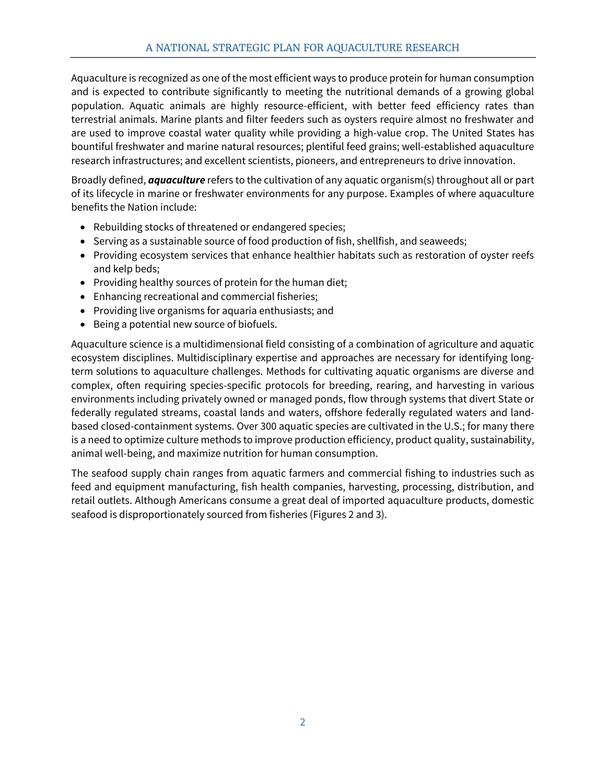Aquaculture is recognized as one of the most efficient ways to produce protein for human consumption and is expected to contribute significantly to meeting the nutritional demands of a growing global population. Aquatic animals are highly resource-efficient, with better feed efficiency rates than terrestrial animals. Marine plants and filter feeders such as oysters require almost no freshwater and are used to improve coastal water quality while providing a high-value crop. The United States has bountiful freshwater and marine natural resources; plentiful feed grains; well-established aquaculture research infrastructures; and excellent scientists, pioneers, and entrepreneurs to drive innovation.

Broadly defined, *aquaculture* refers to the cultivation of any aquatic organism(s) throughout all or part of its lifecycle in marine or freshwater environments for any purpose. Examples of where aquaculture benefits the Nation include:

- Rebuilding stocks of threatened or endangered species;
- Serving as a sustainable source of food production of fish, shellfish, and seaweeds;
- Providing ecosystem services that enhance healthier habitats such as restoration of oyster reefs and kelp beds;
- Providing healthy sources of protein for the human diet;
- Enhancing recreational and commercial fisheries;
- Providing live organisms for aquaria enthusiasts; and
- Being a potential new source of biofuels.

Aquaculture science is a multidimensional field consisting of a combination of agriculture and aquatic ecosystem disciplines. Multidisciplinary expertise and approaches are necessary for identifying longterm solutions to aquaculture challenges. Methods for cultivating aquatic organisms are diverse and complex, often requiring species-specific protocols for breeding, rearing, and harvesting in various environments including privately owned or managed ponds, flow through systems that divert State or federally regulated streams, coastal lands and waters, offshore federally regulated waters and landbased closed-containment systems. Over 300 aquatic species are cultivated in the U.S.; for many there is a need to optimize culture methods to improve production efficiency, product quality, sustainability, animal well-being, and maximize nutrition for human consumption.

The seafood supply chain ranges from aquatic farmers and commercial fishing to industries such as feed and equipment manufacturing, fish health companies, harvesting, processing, distribution, and retail outlets. Although Americans consume a great deal of imported aquaculture products, domestic seafood is disproportionately sourced from fisheries (Figures 2 and 3).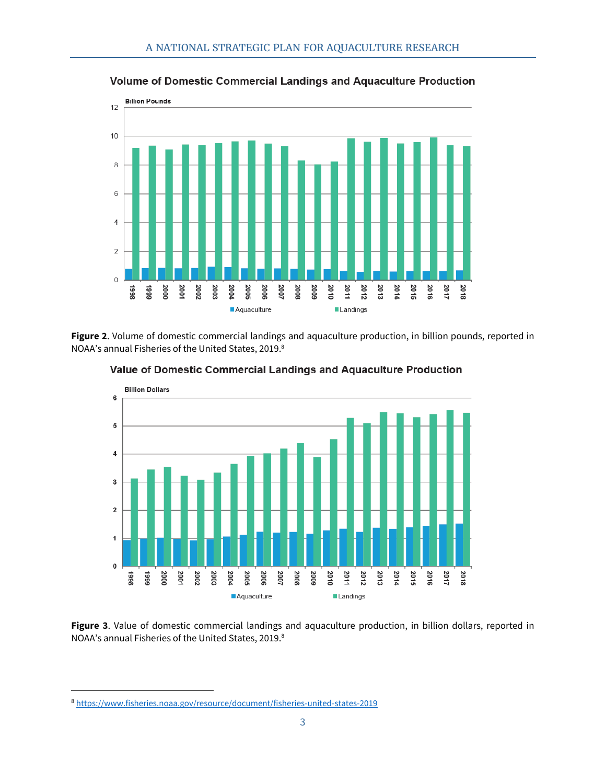

Volume of Domestic Commercial Landings and Aquaculture Production

**Figure 2**. Volume of domestic commercial landings and aquaculture production, in billion pounds, reported in NOAA's annual Fisheries of the United States, 2019. 8



Value of Domestic Commercial Landings and Aquaculture Production

**Figure 3**. Value of domestic commercial landings and aquaculture production, in billion dollars, reported in NOAA's annual Fisheries of the United States, 2019. 8

<sup>8</sup> <https://www.fisheries.noaa.gov/resource/document/fisheries-united-states-2019>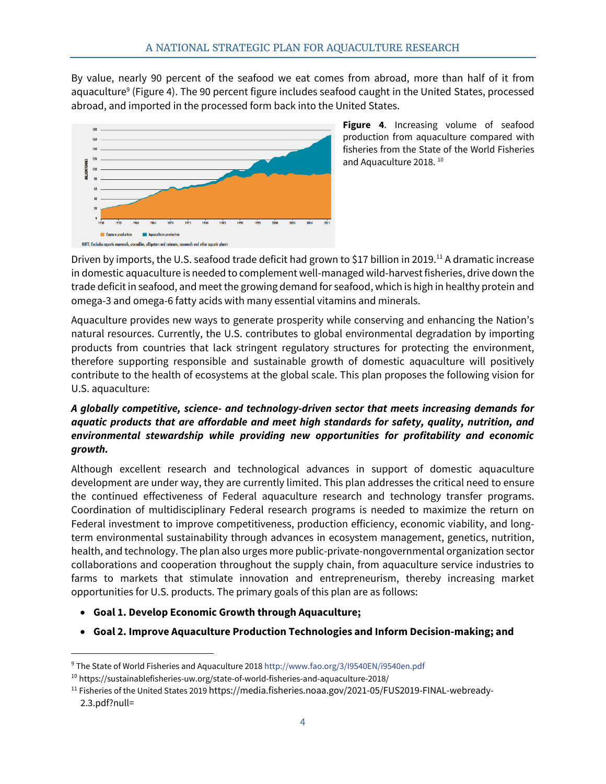By value, nearly 90 percent of the seafood we eat comes from abroad, more than half of it from aquaculture<sup>9</sup> (Figure 4). The 90 percent figure includes seafood caught in the United States, processed abroad, and imported in the processed form back into the United States.



**Figure 4**. Increasing volume of seafood production from aquaculture compared with fisheries from the State of the World Fisheries and Aquaculture 2018. 10

Driven by imports, the U.S. seafood trade deficit had grown to \$17 billion in 2019.<sup>11</sup> A dramatic increase in domestic aquaculture is needed to complement well-managed wild-harvest fisheries, drive down the trade deficit in seafood, and meet the growing demand for seafood, which is high in healthy protein and omega-3 and omega-6 fatty acids with many essential vitamins and minerals.

Aquaculture provides new ways to generate prosperity while conserving and enhancing the Nation's natural resources. Currently, the U.S. contributes to global environmental degradation by importing products from countries that lack stringent regulatory structures for protecting the environment, therefore supporting responsible and sustainable growth of domestic aquaculture will positively contribute to the health of ecosystems at the global scale. This plan proposes the following vision for U.S. aquaculture:

#### *A globally competitive, science- and technology-driven sector that meets increasing demands for aquatic products that are affordable and meet high standards for safety, quality, nutrition, and environmental stewardship while providing new opportunities for profitability and economic growth.*

Although excellent research and technological advances in support of domestic aquaculture development are under way, they are currently limited. This plan addresses the critical need to ensure the continued effectiveness of Federal aquaculture research and technology transfer programs. Coordination of multidisciplinary Federal research programs is needed to maximize the return on Federal investment to improve competitiveness, production efficiency, economic viability, and longterm environmental sustainability through advances in ecosystem management, genetics, nutrition, health, and technology. The plan also urges more public-private-nongovernmental organization sector collaborations and cooperation throughout the supply chain, from aquaculture service industries to farms to markets that stimulate innovation and entrepreneurism, thereby increasing market opportunities for U.S. products. The primary goals of this plan are as follows:

- **Goal 1. Develop Economic Growth through Aquaculture;**
- **Goal 2. Improve Aquaculture Production Technologies and Inform Decision-making; and**

<sup>9</sup> The State of World Fisheries and Aquaculture 2018 http://www.fao.org/3/I9540EN/i9540en.pdf

<sup>10</sup> https://sustainablefisheries-uw.org/state-of-world-fisheries-and-aquaculture-2018/

<sup>&</sup>lt;sup>11</sup> Fisheries of the United States 2019 https://media.fisheries.noaa.gov/2021-05/FUS2019-FINAL-webready-2.3.pdf?null=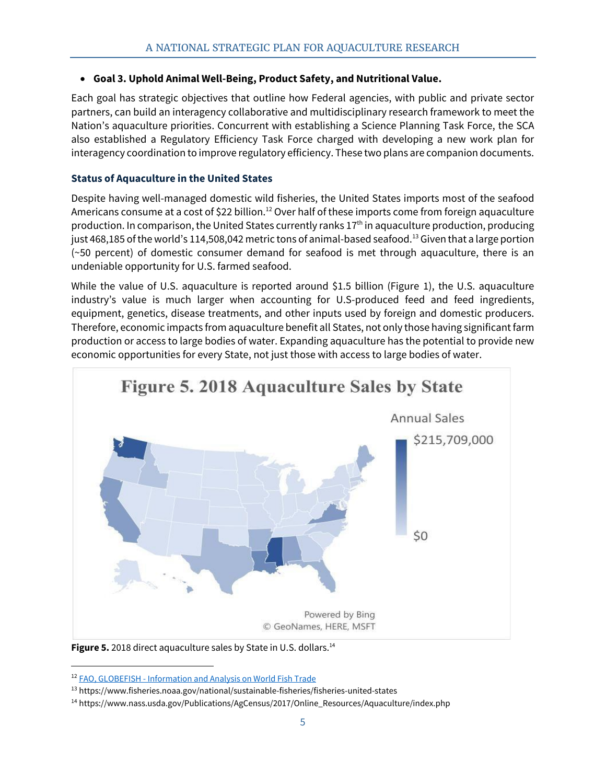#### <span id="page-11-0"></span>• **Goal 3. Uphold Animal Well-Being, Product Safety, and Nutritional Value.**

Each goal has strategic objectives that outline how Federal agencies, with public and private sector partners, can build an interagency collaborative and multidisciplinary research framework to meet the Nation's aquaculture priorities. Concurrent with establishing a Science Planning Task Force, the SCA also established a Regulatory Efficiency Task Force charged with developing a new work plan for interagency coordination to improve regulatory efficiency. These two plans are companion documents.

#### **Status of Aquaculture in the United States**

Despite having well-managed domestic wild fisheries, the United States imports most of the seafood Americans consume at a cost of \$22 billion.<sup>12</sup> Over half of these imports come from foreign aquaculture production. In comparison, the United States currently ranks 17<sup>th</sup> in aquaculture production, producing just 468,185 of the world's 114,508,042 metric tons of animal-based seafood.<sup>13</sup> Given that a large portion (~50 percent) of domestic consumer demand for seafood is met through aquaculture, there is an undeniable opportunity for U.S. farmed seafood.

While the value of U.S. aquaculture is reported around \$1.5 billion (Figure 1), the U.S. aquaculture industry's value is much larger when accounting for U.S-produced feed and feed ingredients, equipment, genetics, disease treatments, and other inputs used by foreign and domestic producers. Therefore, economic impacts from aquaculture benefit all States, not only those having significant farm production or access to large bodies of water. Expanding aquaculture has the potential to provide new economic opportunities for every State, not just those with access to large bodies of water.



**Figure 5.** 2018 direct aquaculture sales by State in U.S. dollars.<sup>14</sup>

<sup>12</sup> FAO, GLOBEFISH - [Information and Analysis on World Fish Trade](http://www.fao.org/in-action/globefish/countries/countries/usa/usa-trade/en/?page=7&ipp=5&tx_dynalist_pi1%5Bpar%5D=YToxOntzOjE6IkwiO3M6MToiNyI7fQ%3D%3D)

<sup>13</sup> https://www.fisheries.noaa.gov/national/sustainable-fisheries/fisheries-united-states

<sup>14</sup> https://www.nass.usda.gov/Publications/AgCensus/2017/Online\_Resources/Aquaculture/index.php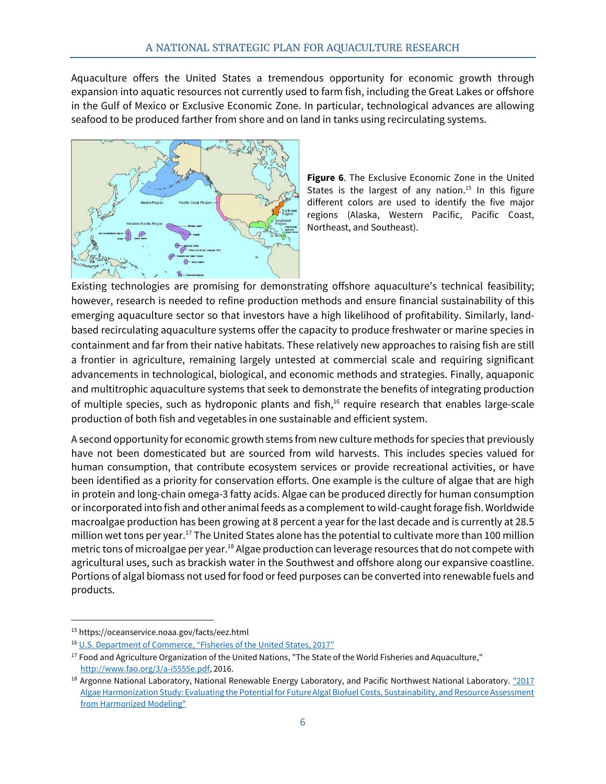Aquaculture offers the United States a tremendous opportunity for economic growth through expansion into aquatic resources not currently used to farm fish, including the Great Lakes or offshore in the Gulf of Mexico or Exclusive Economic Zone. In particular, technological advances are allowing seafood to be produced farther from shore and on land in tanks using recirculating systems.



**Figure 6**. The Exclusive Economic Zone in the United States is the largest of any nation.<sup>15</sup> In this figure different colors are used to identify the five major regions (Alaska, Western Pacific, Pacific Coast, Northeast, and Southeast).

Existing technologies are promising for demonstrating offshore aquaculture's technical feasibility; however, research is needed to refine production methods and ensure financial sustainability of this emerging aquaculture sector so that investors have a high likelihood of profitability. Similarly, landbased recirculating aquaculture systems offer the capacity to produce freshwater or marine species in containment and far from their native habitats. These relatively new approaches to raising fish are still a frontier in agriculture, remaining largely untested at commercial scale and requiring significant advancements in technological, biological, and economic methods and strategies. Finally, aquaponic and multitrophic aquaculture systems that seek to demonstrate the benefits of integrating production of multiple species, such as hydroponic plants and fish, <sup>16</sup> require research that enables large-scale production of both fish and vegetables in one sustainable and efficient system.

A second opportunity for economic growth stems from new culture methods for species that previously have not been domesticated but are sourced from wild harvests. This includes species valued for human consumption, that contribute ecosystem services or provide recreational activities, or have been identified as a priority for conservation efforts. One example is the culture of algae that are high in protein and long-chain omega-3 fatty acids. Algae can be produced directly for human consumption or incorporated into fish and other animal feeds as a complement to wild-caught forage fish. Worldwide macroalgae production has been growing at 8 percent a year for the last decade and is currently at 28.5 million wet tons per year. <sup>17</sup> The United States alone has the potential to cultivate more than 100 million metric tons of microalgae per year.<sup>18</sup> Algae production can leverage resources that do not compete with agricultural uses, such as brackish water in the Southwest and offshore along our expansive coastline. Portions of algal biomass not used for food or feed purposes can be converted into renewable fuels and products.

<sup>15</sup> https://oceanservice.noaa.gov/facts/eez.html

<sup>&</sup>lt;sup>16</sup> U.S. Department of Commerce, "Fisheries of the United States, 2017"

<sup>&</sup>lt;sup>17</sup> Food and Agriculture Organization of the United Nations, "The State of the World Fisheries and Aquaculture," [http://www.fao.org/3/a-i5555e.pdf,](http://www.fao.org/3/a-i5555e.pdf) 2016.

<sup>&</sup>lt;sup>18</sup> Argonne National Laboratory, National Renewable Energy Laboratory, and Pacific Northwest National Laboratory. "2017 [Algae Harmonization Study: Evaluating the Potential for Future Algal Biofuel Costs, Sustainability, and Resource Assessment](https://www.nrel.gov/docs/fy18osti/70715.pdf)  [from Harmonized Modeling"](https://www.nrel.gov/docs/fy18osti/70715.pdf)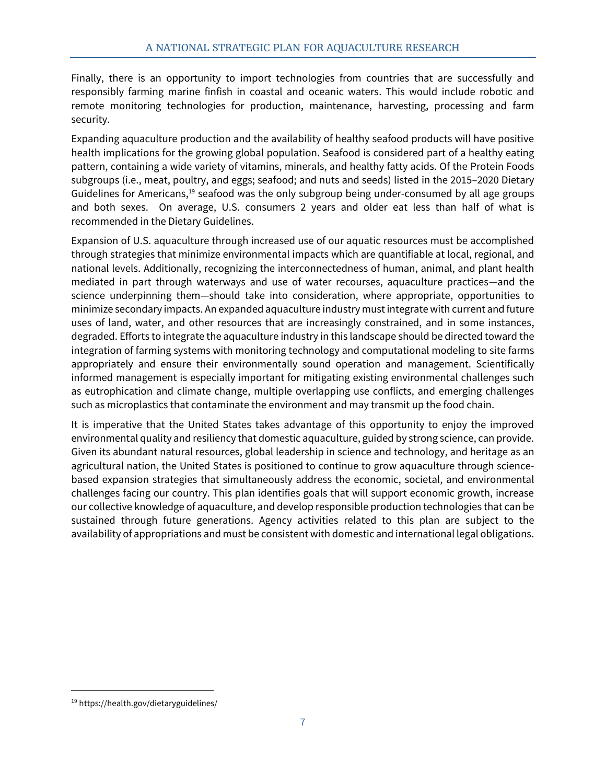Finally, there is an opportunity to import technologies from countries that are successfully and responsibly farming marine finfish in coastal and oceanic waters. This would include robotic and remote monitoring technologies for production, maintenance, harvesting, processing and farm security.

Expanding aquaculture production and the availability of healthy seafood products will have positive health implications for the growing global population. Seafood is considered part of a healthy eating pattern, containing a wide variety of vitamins, minerals, and healthy fatty acids. Of the Protein Foods subgroups (i.e., meat, poultry, and eggs; seafood; and nuts and seeds) listed in the 2015–2020 Dietary Guidelines for Americans,<sup>19</sup> seafood was the only subgroup being under-consumed by all age groups and both sexes. On average, U.S. consumers 2 years and older eat less than half of what is recommended in the Dietary Guidelines.

Expansion of U.S. aquaculture through increased use of our aquatic resources must be accomplished through strategies that minimize environmental impacts which are quantifiable at local, regional, and national levels. Additionally, recognizing the interconnectedness of human, animal, and plant health mediated in part through waterways and use of water recourses, aquaculture practices—and the science underpinning them—should take into consideration, where appropriate, opportunities to minimize secondary impacts. An expanded aquaculture industry must integrate with current and future uses of land, water, and other resources that are increasingly constrained, and in some instances, degraded. Efforts to integrate the aquaculture industry in this landscape should be directed toward the integration of farming systems with monitoring technology and computational modeling to site farms appropriately and ensure their environmentally sound operation and management. Scientifically informed management is especially important for mitigating existing environmental challenges such as eutrophication and climate change, multiple overlapping use conflicts, and emerging challenges such as microplastics that contaminate the environment and may transmit up the food chain.

It is imperative that the United States takes advantage of this opportunity to enjoy the improved environmental quality and resiliency that domestic aquaculture, guided by strong science, can provide. Given its abundant natural resources, global leadership in science and technology, and heritage as an agricultural nation, the United States is positioned to continue to grow aquaculture through sciencebased expansion strategies that simultaneously address the economic, societal, and environmental challenges facing our country. This plan identifies goals that will support economic growth, increase our collective knowledge of aquaculture, and develop responsible production technologies that can be sustained through future generations. Agency activities related to this plan are subject to the availability of appropriations and must be consistent with domestic and international legal obligations.

<sup>19</sup> https://health.gov/dietaryguidelines/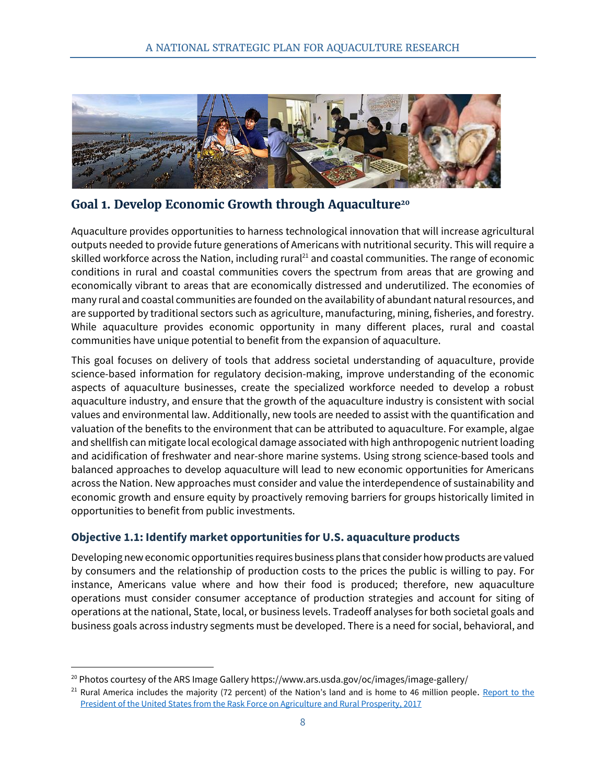

**Goal 1. Develop Economic Growth through Aquaculture<sup>20</sup>**

<span id="page-14-0"></span>Aquaculture provides opportunities to harness technological innovation that will increase agricultural outputs needed to provide future generations of Americans with nutritional security. This will require a skilled workforce across the Nation, including rural<sup>21</sup> and coastal communities. The range of economic conditions in rural and coastal communities covers the spectrum from areas that are growing and economically vibrant to areas that are economically distressed and underutilized. The economies of many rural and coastal communities are founded on the availability of abundant natural resources, and are supported by traditional sectors such as agriculture, manufacturing, mining, fisheries, and forestry. While aquaculture provides economic opportunity in many different places, rural and coastal communities have unique potential to benefit from the expansion of aquaculture.

This goal focuses on delivery of tools that address societal understanding of aquaculture, provide science-based information for regulatory decision-making, improve understanding of the economic aspects of aquaculture businesses, create the specialized workforce needed to develop a robust aquaculture industry, and ensure that the growth of the aquaculture industry is consistent with social values and environmental law. Additionally, new tools are needed to assist with the quantification and valuation of the benefits to the environment that can be attributed to aquaculture. For example, algae and shellfish can mitigate local ecological damage associated with high anthropogenic nutrient loading and acidification of freshwater and near-shore marine systems. Using strong science-based tools and balanced approaches to develop aquaculture will lead to new economic opportunities for Americans across the Nation. New approaches must consider and value the interdependence of sustainability and economic growth and ensure equity by proactively removing barriers for groups historically limited in opportunities to benefit from public investments.

#### <span id="page-14-1"></span>**Objective 1.1: Identify market opportunities for U.S. aquaculture products**

Developing new economic opportunities requires business plans that consider how products are valued by consumers and the relationship of production costs to the prices the public is willing to pay. For instance, Americans value where and how their food is produced; therefore, new aquaculture operations must consider consumer acceptance of production strategies and account for siting of operations at the national, State, local, or business levels. Tradeoff analyses for both societal goals and business goals across industry segments must be developed. There is a need for social, behavioral, and

<sup>&</sup>lt;sup>20</sup> Photos courtesy of the ARS Image Gallery https://www.ars.usda.gov/oc/images/image-gallery/

 $21$  Rural America includes the majority (72 percent) of the Nation's land and is home to 46 million people. Report to the [President of the United States from the Rask Force on Agriculture and Rural Prosperity, 2017](https://www.usda.gov/sites/default/files/documents/rural-prosperity-report.pdf)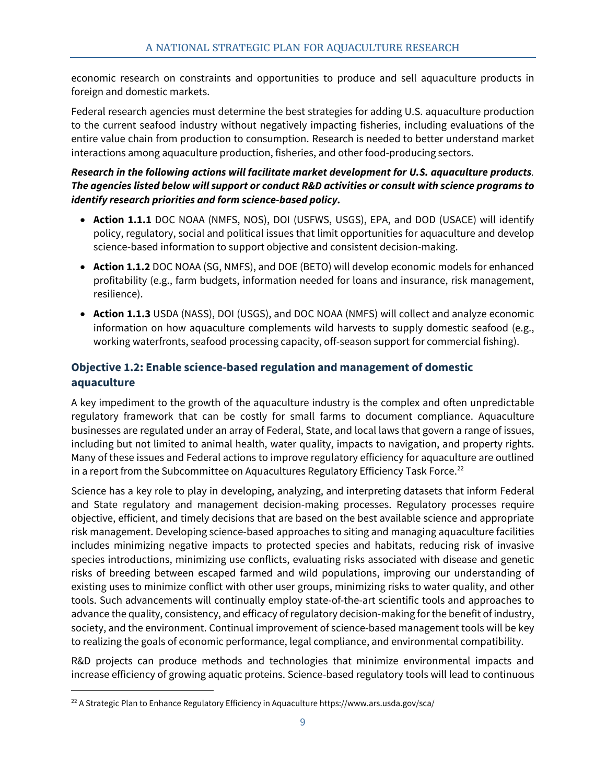economic research on constraints and opportunities to produce and sell aquaculture products in foreign and domestic markets.

Federal research agencies must determine the best strategies for adding U.S. aquaculture production to the current seafood industry without negatively impacting fisheries, including evaluations of the entire value chain from production to consumption. Research is needed to better understand market interactions among aquaculture production, fisheries, and other food-producing sectors.

#### *Research in the following actions will facilitate market development for U.S. aquaculture products. The agencies listed below will support or conduct R&D activities or consult with science programs to identify research priorities and form science-based policy.*

- **Action 1.1.1** DOC NOAA (NMFS, NOS), DOI (USFWS, USGS), EPA, and DOD (USACE) will identify policy, regulatory, social and political issues that limit opportunities for aquaculture and develop science-based information to support objective and consistent decision-making.
- **Action 1.1.2** DOC NOAA (SG, NMFS), and DOE (BETO) will develop economic models for enhanced profitability (e.g., farm budgets, information needed for loans and insurance, risk management, resilience).
- **Action 1.1.3** USDA (NASS), DOI (USGS), and DOC NOAA (NMFS) will collect and analyze economic information on how aquaculture complements wild harvests to supply domestic seafood (e.g., working waterfronts, seafood processing capacity, off-season support for commercial fishing).

#### <span id="page-15-0"></span>**Objective 1.2: Enable science-based regulation and management of domestic aquaculture**

A key impediment to the growth of the aquaculture industry is the complex and often unpredictable regulatory framework that can be costly for small farms to document compliance. Aquaculture businesses are regulated under an array of Federal, State, and local laws that govern a range of issues, including but not limited to animal health, water quality, impacts to navigation, and property rights. Many of these issues and Federal actions to improve regulatory efficiency for aquaculture are outlined in a report from the Subcommittee on Aquacultures Regulatory Efficiency Task Force.<sup>22</sup>

Science has a key role to play in developing, analyzing, and interpreting datasets that inform Federal and State regulatory and management decision-making processes. Regulatory processes require objective, efficient, and timely decisions that are based on the best available science and appropriate risk management. Developing science-based approaches to siting and managing aquaculture facilities includes minimizing negative impacts to protected species and habitats, reducing risk of invasive species introductions, minimizing use conflicts, evaluating risks associated with disease and genetic risks of breeding between escaped farmed and wild populations, improving our understanding of existing uses to minimize conflict with other user groups, minimizing risks to water quality, and other tools. Such advancements will continually employ state-of-the-art scientific tools and approaches to advance the quality, consistency, and efficacy of regulatory decision-making for the benefit of industry, society, and the environment. Continual improvement of science-based management tools will be key to realizing the goals of economic performance, legal compliance, and environmental compatibility.

R&D projects can produce methods and technologies that minimize environmental impacts and increase efficiency of growing aquatic proteins. Science-based regulatory tools will lead to continuous

<sup>&</sup>lt;sup>22</sup> A Strategic Plan to Enhance Regulatory Efficiency in Aquaculture https://www.ars.usda.gov/sca/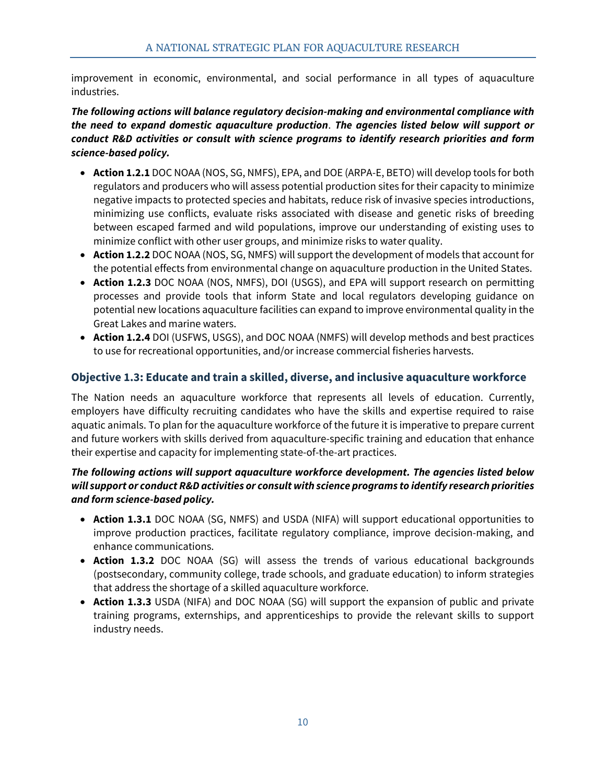improvement in economic, environmental, and social performance in all types of aquaculture industries.

*The following actions will balance regulatory decision-making and environmental compliance with the need to expand domestic aquaculture production*. *The agencies listed below will support or conduct R&D activities or consult with science programs to identify research priorities and form science-based policy.*

- **Action 1.2.1** DOC NOAA (NOS, SG, NMFS), EPA, and DOE (ARPA-E, BETO) will develop tools for both regulators and producers who will assess potential production sites for their capacity to minimize negative impacts to protected species and habitats, reduce risk of invasive species introductions, minimizing use conflicts, evaluate risks associated with disease and genetic risks of breeding between escaped farmed and wild populations, improve our understanding of existing uses to minimize conflict with other user groups, and minimize risks to water quality.
- **Action 1.2.2** DOC NOAA (NOS, SG, NMFS) will support the development of models that account for the potential effects from environmental change on aquaculture production in the United States.
- **Action 1.2.3** DOC NOAA (NOS, NMFS), DOI (USGS), and EPA will support research on permitting processes and provide tools that inform State and local regulators developing guidance on potential new locations aquaculture facilities can expand to improve environmental quality in the Great Lakes and marine waters.
- **Action 1.2.4** DOI (USFWS, USGS), and DOC NOAA (NMFS) will develop methods and best practices to use for recreational opportunities, and/or increase commercial fisheries harvests.

#### <span id="page-16-0"></span>**Objective 1.3: Educate and train a skilled, diverse, and inclusive aquaculture workforce**

The Nation needs an aquaculture workforce that represents all levels of education. Currently, employers have difficulty recruiting candidates who have the skills and expertise required to raise aquatic animals. To plan for the aquaculture workforce of the future it is imperative to prepare current and future workers with skills derived from aquaculture-specific training and education that enhance their expertise and capacity for implementing state-of-the-art practices.

#### *The following actions will support aquaculture workforce development. The agencies listed below will support or conduct R&D activities or consult with science programs to identify research priorities and form science-based policy.*

- **Action 1.3.1** DOC NOAA (SG, NMFS) and USDA (NIFA) will support educational opportunities to improve production practices, facilitate regulatory compliance, improve decision-making, and enhance communications.
- **Action 1.3.2** DOC NOAA (SG) will assess the trends of various educational backgrounds (postsecondary, community college, trade schools, and graduate education) to inform strategies that address the shortage of a skilled aquaculture workforce.
- **Action 1.3.3** USDA (NIFA) and DOC NOAA (SG) will support the expansion of public and private training programs, externships, and apprenticeships to provide the relevant skills to support industry needs.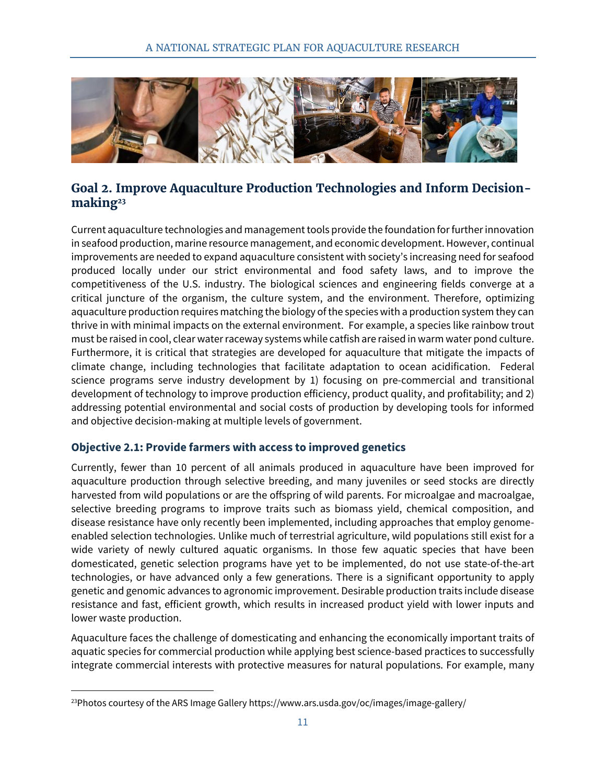

#### <span id="page-17-0"></span>**Goal 2. Improve Aquaculture Production Technologies and Inform Decisionmaking<sup>23</sup>**

Current aquaculture technologies and management tools provide the foundation for further innovation in seafood production, marine resource management, and economic development. However, continual improvements are needed to expand aquaculture consistent with society's increasing need for seafood produced locally under our strict environmental and food safety laws, and to improve the competitiveness of the U.S. industry. The biological sciences and engineering fields converge at a critical juncture of the organism, the culture system, and the environment. Therefore, optimizing aquaculture production requires matching the biology of the species with a production system they can thrive in with minimal impacts on the external environment. For example, a species like rainbow trout must be raised in cool, clear water raceway systems while catfish are raised in warm water pond culture. Furthermore, it is critical that strategies are developed for aquaculture that mitigate the impacts of climate change, including technologies that facilitate adaptation to ocean acidification. Federal science programs serve industry development by 1) focusing on pre-commercial and transitional development of technology to improve production efficiency, product quality, and profitability; and 2) addressing potential environmental and social costs of production by developing tools for informed and objective decision-making at multiple levels of government.

#### <span id="page-17-1"></span>**Objective 2.1: Provide farmers with access to improved genetics**

Currently, fewer than 10 percent of all animals produced in aquaculture have been improved for aquaculture production through selective breeding, and many juveniles or seed stocks are directly harvested from wild populations or are the offspring of wild parents. For microalgae and macroalgae, selective breeding programs to improve traits such as biomass yield, chemical composition, and disease resistance have only recently been implemented, including approaches that employ genomeenabled selection technologies. Unlike much of terrestrial agriculture, wild populations still exist for a wide variety of newly cultured aquatic organisms. In those few aquatic species that have been domesticated, genetic selection programs have yet to be implemented, do not use state-of-the-art technologies, or have advanced only a few generations. There is a significant opportunity to apply genetic and genomic advances to agronomic improvement. Desirable production traits include disease resistance and fast, efficient growth, which results in increased product yield with lower inputs and lower waste production.

Aquaculture faces the challenge of domesticating and enhancing the economically important traits of aquatic species for commercial production while applying best science-based practices to successfully integrate commercial interests with protective measures for natural populations. For example, many

 $^{23}$ Photos courtesy of the ARS Image Gallery https://www.ars.usda.gov/oc/images/image-gallery/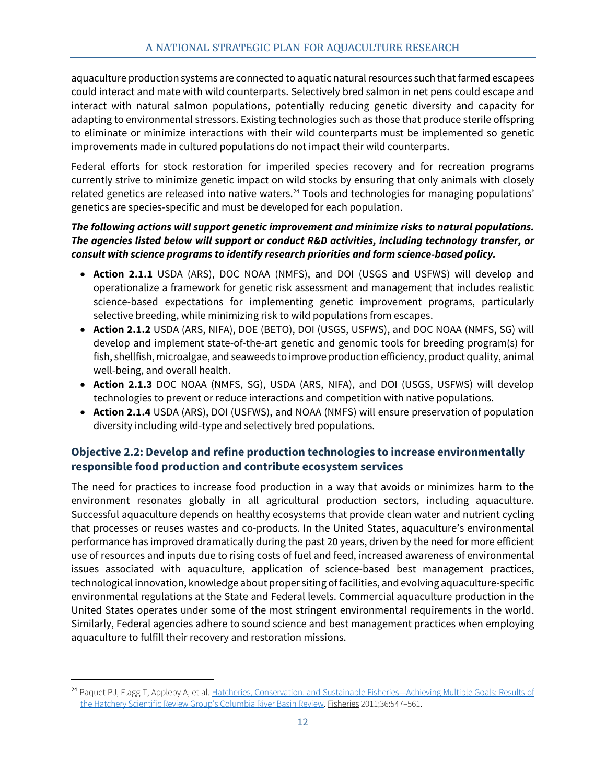aquaculture production systems are connected to aquatic natural resources such that farmed escapees could interact and mate with wild counterparts. Selectively bred salmon in net pens could escape and interact with natural salmon populations, potentially reducing genetic diversity and capacity for adapting to environmental stressors. Existing technologies such as those that produce sterile offspring to eliminate or minimize interactions with their wild counterparts must be implemented so genetic improvements made in cultured populations do not impact their wild counterparts.

Federal efforts for stock restoration for imperiled species recovery and for recreation programs currently strive to minimize genetic impact on wild stocks by ensuring that only animals with closely related genetics are released into native waters.<sup>24</sup> Tools and technologies for managing populations' genetics are species-specific and must be developed for each population.

#### *The following actions will support genetic improvement and minimize risks to natural populations. The agencies listed below will support or conduct R&D activities, including technology transfer, or consult with science programs to identify research priorities and form science-based policy.*

- **Action 2.1.1** USDA (ARS), DOC NOAA (NMFS), and DOI (USGS and USFWS) will develop and operationalize a framework for genetic risk assessment and management that includes realistic science-based expectations for implementing genetic improvement programs, particularly selective breeding, while minimizing risk to wild populations from escapes.
- **Action 2.1.2** USDA (ARS, NIFA), DOE (BETO), DOI (USGS, USFWS), and DOC NOAA (NMFS, SG) will develop and implement state-of-the-art genetic and genomic tools for breeding program(s) for fish, shellfish, microalgae, and seaweeds to improve production efficiency, product quality, animal well-being, and overall health.
- **Action 2.1.3** DOC NOAA (NMFS, SG), USDA (ARS, NIFA), and DOI (USGS, USFWS) will develop technologies to prevent or reduce interactions and competition with native populations.
- **Action 2.1.4** USDA (ARS), DOI (USFWS), and NOAA (NMFS) will ensure preservation of population diversity including wild-type and selectively bred populations.

#### <span id="page-18-0"></span>**Objective 2.2: Develop and refine production technologies to increase environmentally responsible food production and contribute ecosystem services**

The need for practices to increase food production in a way that avoids or minimizes harm to the environment resonates globally in all agricultural production sectors, including aquaculture. Successful aquaculture depends on healthy ecosystems that provide clean water and nutrient cycling that processes or reuses wastes and co-products. In the United States, aquaculture's environmental performance has improved dramatically during the past 20 years, driven by the need for more efficient use of resources and inputs due to rising costs of fuel and feed, increased awareness of environmental issues associated with aquaculture, application of science-based best management practices, technological innovation, knowledge about proper siting of facilities, and evolving aquaculture-specific environmental regulations at the State and Federal levels. Commercial aquaculture production in the United States operates under some of the most stringent environmental requirements in the world. Similarly, Federal agencies adhere to sound science and best management practices when employing aquaculture to fulfill their recovery and restoration missions.

<sup>24</sup> Paquet PJ, Flagg T, Appleby A, et al. [Hatcheries, Conservation, and Sustainable Fisheries](http://www.tandfonline.com/doi/abs/10.1080/03632415.2011.626661)—Achieving Multiple Goals: Results of [the Hatchery Scientific Review Group's Columbia River Basin Review.](http://www.tandfonline.com/doi/abs/10.1080/03632415.2011.626661) Fisheries 2011;36:547–561.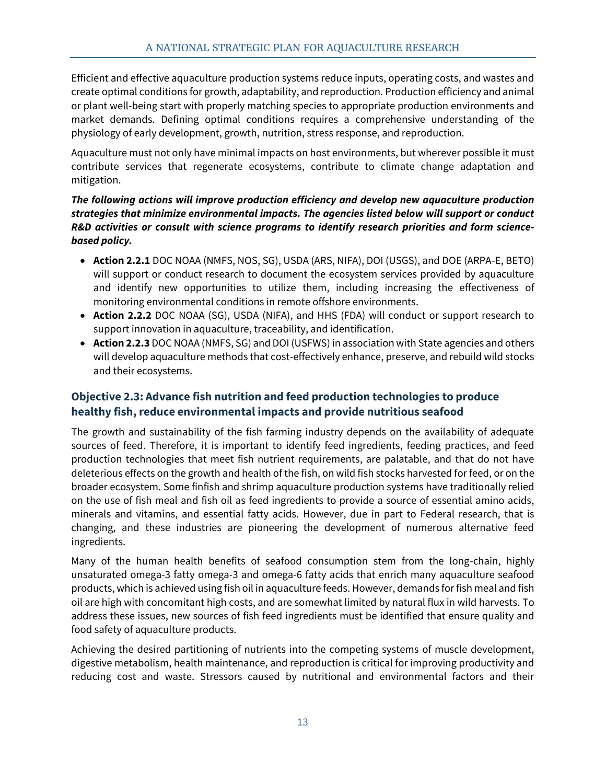Efficient and effective aquaculture production systems reduce inputs, operating costs, and wastes and create optimal conditions for growth, adaptability, and reproduction. Production efficiency and animal or plant well-being start with properly matching species to appropriate production environments and market demands. Defining optimal conditions requires a comprehensive understanding of the physiology of early development, growth, nutrition, stress response, and reproduction.

Aquaculture must not only have minimal impacts on host environments, but wherever possible it must contribute services that regenerate ecosystems, contribute to climate change adaptation and mitigation.

#### *The following actions will improve production efficiency and develop new aquaculture production strategies that minimize environmental impacts. The agencies listed below will support or conduct R&D activities or consult with science programs to identify research priorities and form sciencebased policy.*

- **Action 2.2.1** DOC NOAA (NMFS, NOS, SG), USDA (ARS, NIFA), DOI (USGS), and DOE (ARPA-E, BETO) will support or conduct research to document the ecosystem services provided by aquaculture and identify new opportunities to utilize them, including increasing the effectiveness of monitoring environmental conditions in remote offshore environments.
- **Action 2.2.2** DOC NOAA (SG), USDA (NIFA), and HHS (FDA) will conduct or support research to support innovation in aquaculture, traceability, and identification.
- **Action 2.2.3** DOC NOAA (NMFS, SG) and DOI (USFWS) in association with State agencies and others will develop aquaculture methods that cost-effectively enhance, preserve, and rebuild wild stocks and their ecosystems.

#### <span id="page-19-0"></span>**Objective 2.3: Advance fish nutrition and feed production technologies to produce healthy fish, reduce environmental impacts and provide nutritious seafood**

The growth and sustainability of the fish farming industry depends on the availability of adequate sources of feed. Therefore, it is important to identify feed ingredients, feeding practices, and feed production technologies that meet fish nutrient requirements, are palatable, and that do not have deleterious effects on the growth and health of the fish, on wild fish stocks harvested for feed, or on the broader ecosystem. Some finfish and shrimp aquaculture production systems have traditionally relied on the use of fish meal and fish oil as feed ingredients to provide a source of essential amino acids, minerals and vitamins, and essential fatty acids. However, due in part to Federal research, that is changing, and these industries are pioneering the development of numerous alternative feed ingredients.

Many of the human health benefits of seafood consumption stem from the long-chain, highly unsaturated omega-3 fatty omega-3 and omega-6 fatty acids that enrich many aquaculture seafood products, which is achieved using fish oil in aquaculture feeds. However, demands for fish meal and fish oil are high with concomitant high costs, and are somewhat limited by natural flux in wild harvests. To address these issues, new sources of fish feed ingredients must be identified that ensure quality and food safety of aquaculture products.

Achieving the desired partitioning of nutrients into the competing systems of muscle development, digestive metabolism, health maintenance, and reproduction is critical for improving productivity and reducing cost and waste. Stressors caused by nutritional and environmental factors and their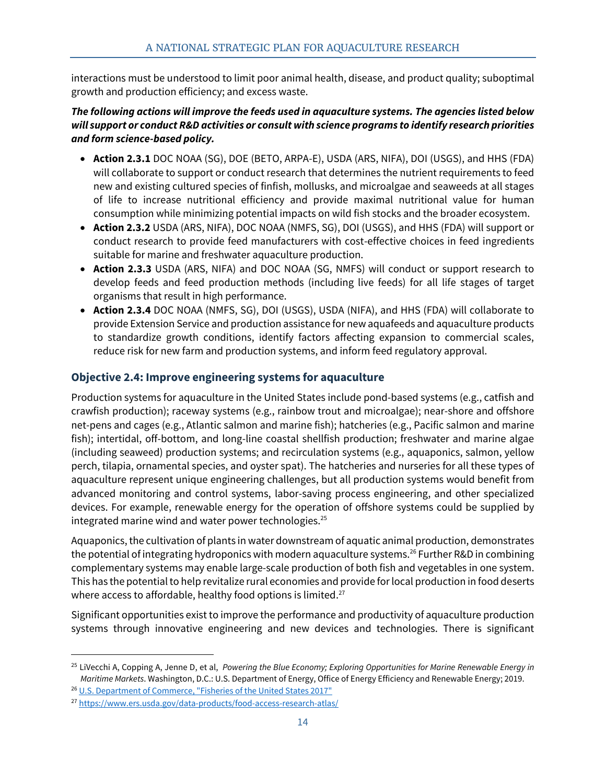interactions must be understood to limit poor animal health, disease, and product quality; suboptimal growth and production efficiency; and excess waste.

#### *The following actions will improve the feeds used in aquaculture systems. The agencies listed below will support or conduct R&D activities or consult with science programs to identify research priorities and form science-based policy.*

- **Action 2.3.1** DOC NOAA (SG), DOE (BETO, ARPA-E), USDA (ARS, NIFA), DOI (USGS), and HHS (FDA) will collaborate to support or conduct research that determines the nutrient requirements to feed new and existing cultured species of finfish, mollusks, and microalgae and seaweeds at all stages of life to increase nutritional efficiency and provide maximal nutritional value for human consumption while minimizing potential impacts on wild fish stocks and the broader ecosystem.
- **Action 2.3.2** USDA (ARS, NIFA), DOC NOAA (NMFS, SG), DOI (USGS), and HHS (FDA) will support or conduct research to provide feed manufacturers with cost-effective choices in feed ingredients suitable for marine and freshwater aquaculture production.
- **Action 2.3.3** USDA (ARS, NIFA) and DOC NOAA (SG, NMFS) will conduct or support research to develop feeds and feed production methods (including live feeds) for all life stages of target organisms that result in high performance.
- **Action 2.3.4** DOC NOAA (NMFS, SG), DOI (USGS), USDA (NIFA), and HHS (FDA) will collaborate to provide Extension Service and production assistance for new aquafeeds and aquaculture products to standardize growth conditions, identify factors affecting expansion to commercial scales, reduce risk for new farm and production systems, and inform feed regulatory approval.

#### <span id="page-20-0"></span>**Objective 2.4: Improve engineering systems for aquaculture**

Production systems for aquaculture in the United States include pond-based systems (e.g., catfish and crawfish production); raceway systems (e.g., rainbow trout and microalgae); near-shore and offshore net-pens and cages (e.g., Atlantic salmon and marine fish); hatcheries (e.g., Pacific salmon and marine fish); intertidal, off-bottom, and long-line coastal shellfish production; freshwater and marine algae (including seaweed) production systems; and recirculation systems (e.g., aquaponics, salmon, yellow perch, tilapia, ornamental species, and oyster spat). The hatcheries and nurseries for all these types of aquaculture represent unique engineering challenges, but all production systems would benefit from advanced monitoring and control systems, labor-saving process engineering, and other specialized devices. For example, renewable energy for the operation of offshore systems could be supplied by integrated marine wind and water power technologies.<sup>25</sup>

Aquaponics, the cultivation of plants in water downstream of aquatic animal production, demonstrates the potential of integrating hydroponics with modern aquaculture systems. <sup>26</sup> Further R&D in combining complementary systems may enable large-scale production of both fish and vegetables in one system. This has the potential to help revitalize rural economies and provide for local production in food deserts where access to affordable, healthy food options is limited. $^{27}$ 

Significant opportunities exist to improve the performance and productivity of aquaculture production systems through innovative engineering and new devices and technologies. There is significant

<sup>25</sup> LiVecchi A, Copping A, Jenne D, et al, *Powering the Blue Economy; Exploring Opportunities for Marine Renewable Energy in Maritime Markets*. Washington, D.C.: U.S. Department of Energy, Office of Energy Efficiency and Renewable Energy; 2019.

<sup>&</sup>lt;sup>26</sup> U.S. Department of Commerce, "Fisheries of the United States 2017"

<sup>27</sup> <https://www.ers.usda.gov/data-products/food-access-research-atlas/>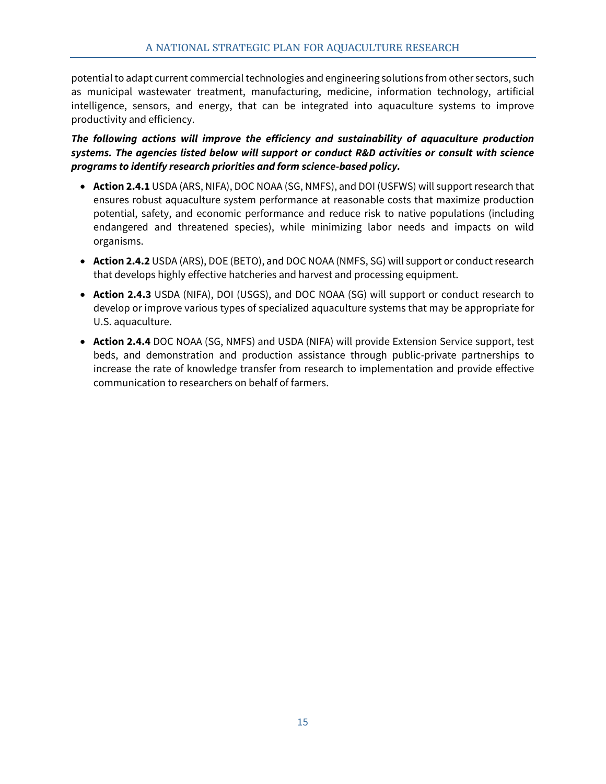potential to adapt current commercial technologies and engineering solutions from other sectors, such as municipal wastewater treatment, manufacturing, medicine, information technology, artificial intelligence, sensors, and energy, that can be integrated into aquaculture systems to improve productivity and efficiency.

*The following actions will improve the efficiency and sustainability of aquaculture production systems. The agencies listed below will support or conduct R&D activities or consult with science programs to identify research priorities and form science-based policy.*

- **Action 2.4.1** USDA (ARS, NIFA), DOC NOAA (SG, NMFS), and DOI (USFWS) will support research that ensures robust aquaculture system performance at reasonable costs that maximize production potential, safety, and economic performance and reduce risk to native populations (including endangered and threatened species), while minimizing labor needs and impacts on wild organisms.
- **Action 2.4.2** USDA (ARS), DOE (BETO), and DOC NOAA (NMFS, SG) will support or conduct research that develops highly effective hatcheries and harvest and processing equipment.
- **Action 2.4.3** USDA (NIFA), DOI (USGS), and DOC NOAA (SG) will support or conduct research to develop or improve various types of specialized aquaculture systems that may be appropriate for U.S. aquaculture.
- **Action 2.4.4** DOC NOAA (SG, NMFS) and USDA (NIFA) will provide Extension Service support, test beds, and demonstration and production assistance through public-private partnerships to increase the rate of knowledge transfer from research to implementation and provide effective communication to researchers on behalf of farmers.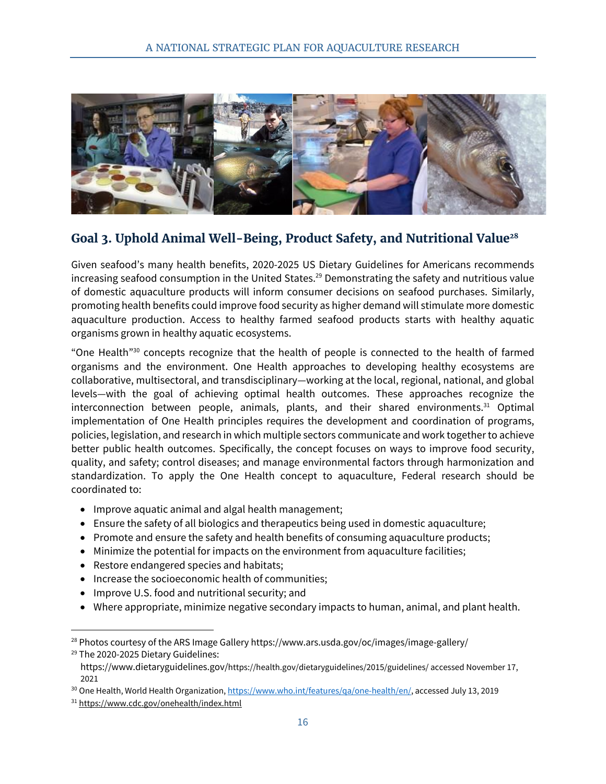

# <span id="page-22-0"></span>**Goal 3. Uphold Animal Well-Being, Product Safety, and Nutritional Value<sup>28</sup>**

Given seafood's many health benefits, 2020-2025 US Dietary Guidelines for Americans recommends increasing seafood consumption in the United States. <sup>29</sup> Demonstrating the safety and nutritious value of domestic aquaculture products will inform consumer decisions on seafood purchases. Similarly, promoting health benefits could improve food security as higher demand will stimulate more domestic aquaculture production. Access to healthy farmed seafood products starts with healthy aquatic organisms grown in healthy aquatic ecosystems.

"One Health<sup>"30</sup> concepts recognize that the health of people is connected to the health of farmed organisms and the environment. One Health approaches to developing healthy ecosystems are collaborative, multisectoral, and transdisciplinary—working at the local, regional, national, and global levels—with the goal of achieving optimal health outcomes. These approaches recognize the interconnection between people, animals, plants, and their shared environments. <sup>31</sup> Optimal implementation of One Health principles requires the development and coordination of programs, policies, legislation, and research in which multiple sectors communicate and work together to achieve better public health outcomes. Specifically, the concept focuses on ways to improve food security, quality, and safety; control diseases; and manage environmental factors through harmonization and standardization. To apply the One Health concept to aquaculture, Federal research should be coordinated to:

- Improve aquatic animal and algal health management;
- Ensure the safety of all biologics and therapeutics being used in domestic aquaculture;
- Promote and ensure the safety and health benefits of consuming aquaculture products;
- Minimize the potential for impacts on the environment from aquaculture facilities;
- Restore endangered species and habitats;
- Increase the socioeconomic health of communities;
- Improve U.S. food and nutritional security; and
- Where appropriate, minimize negative secondary impacts to human, animal, and plant health.

 $28$  Photos courtesy of the ARS Image Gallery https://www.ars.usda.gov/oc/images/image-gallery/

<sup>&</sup>lt;sup>29</sup> The 2020-2025 Dietary Guidelines:

https://www.dietaryguidelines.gov/https://health.gov/dietaryguidelines/2015/guidelines/ accessed November 17, 2021

<sup>&</sup>lt;sup>30</sup> One Health, World Health Organization[, https://www.who.int/features/qa/one-health/en/,](https://www.who.int/features/qa/one-health/en/) accessed July 13, 2019

<sup>31</sup> <https://www.cdc.gov/onehealth/index.html>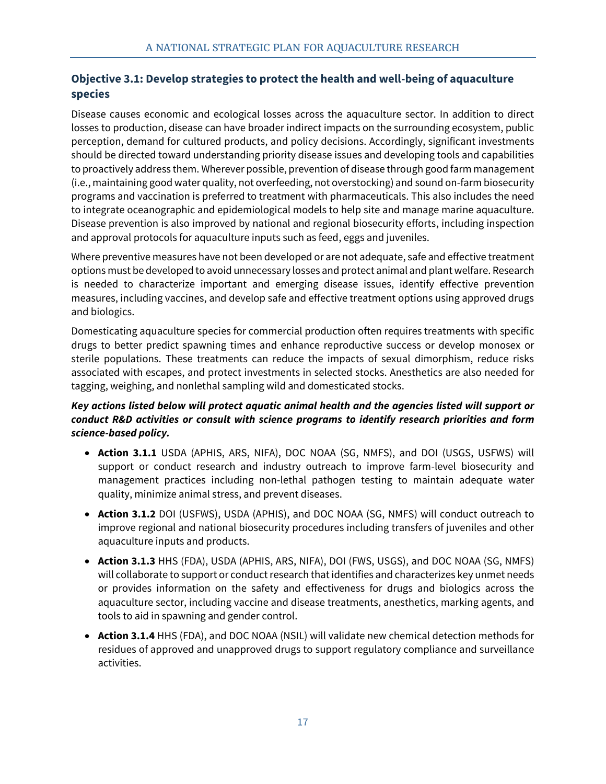#### <span id="page-23-0"></span>**Objective 3.1: Develop strategies to protect the health and well-being of aquaculture species**

Disease causes economic and ecological losses across the aquaculture sector. In addition to direct losses to production, disease can have broader indirect impacts on the surrounding ecosystem, public perception, demand for cultured products, and policy decisions. Accordingly, significant investments should be directed toward understanding priority disease issues and developing tools and capabilities to proactively address them. Wherever possible, prevention of disease through good farm management (i.e., maintaining good water quality, not overfeeding, not overstocking) and sound on-farm biosecurity programs and vaccination is preferred to treatment with pharmaceuticals. This also includes the need to integrate oceanographic and epidemiological models to help site and manage marine aquaculture. Disease prevention is also improved by national and regional biosecurity efforts, including inspection and approval protocols for aquaculture inputs such as feed, eggs and juveniles.

Where preventive measures have not been developed or are not adequate, safe and effective treatment options must be developed to avoid unnecessary losses and protect animal and plant welfare. Research is needed to characterize important and emerging disease issues, identify effective prevention measures, including vaccines, and develop safe and effective treatment options using approved drugs and biologics.

Domesticating aquaculture species for commercial production often requires treatments with specific drugs to better predict spawning times and enhance reproductive success or develop monosex or sterile populations. These treatments can reduce the impacts of sexual dimorphism, reduce risks associated with escapes, and protect investments in selected stocks. Anesthetics are also needed for tagging, weighing, and nonlethal sampling wild and domesticated stocks.

#### *Key actions listed below will protect aquatic animal health and the agencies listed will support or conduct R&D activities or consult with science programs to identify research priorities and form science-based policy.*

- **Action 3.1.1** USDA (APHIS, ARS, NIFA), DOC NOAA (SG, NMFS), and DOI (USGS, USFWS) will support or conduct research and industry outreach to improve farm-level biosecurity and management practices including non-lethal pathogen testing to maintain adequate water quality, minimize animal stress, and prevent diseases.
- **Action 3.1.2** DOI (USFWS), USDA (APHIS), and DOC NOAA (SG, NMFS) will conduct outreach to improve regional and national biosecurity procedures including transfers of juveniles and other aquaculture inputs and products.
- **Action 3.1.3** HHS (FDA), USDA (APHIS, ARS, NIFA), DOI (FWS, USGS), and DOC NOAA (SG, NMFS) will collaborate to support or conduct research that identifies and characterizes key unmet needs or provides information on the safety and effectiveness for drugs and biologics across the aquaculture sector, including vaccine and disease treatments, anesthetics, marking agents, and tools to aid in spawning and gender control.
- **Action 3.1.4** HHS (FDA), and DOC NOAA (NSIL) will validate new chemical detection methods for residues of approved and unapproved drugs to support regulatory compliance and surveillance activities.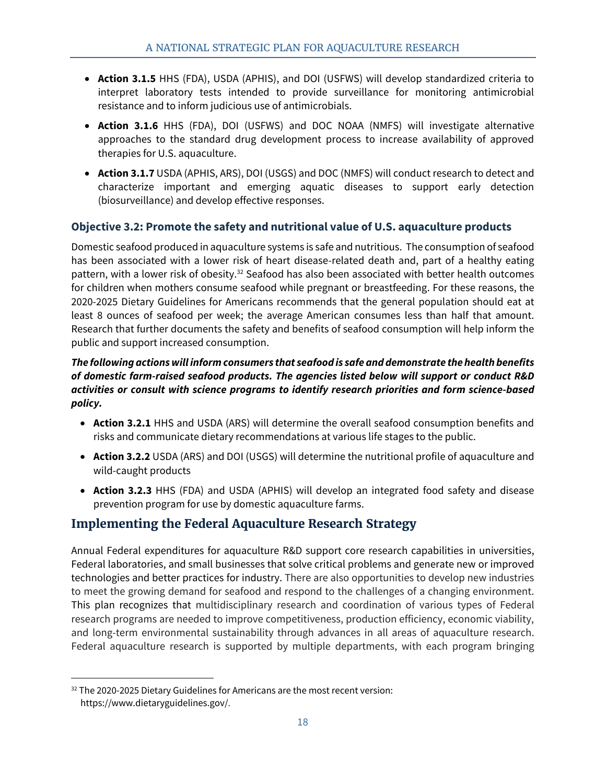- **Action 3.1.5** HHS (FDA), USDA (APHIS), and DOI (USFWS) will develop standardized criteria to interpret laboratory tests intended to provide surveillance for monitoring antimicrobial resistance and to inform judicious use of antimicrobials.
- **Action 3.1.6** HHS (FDA), DOI (USFWS) and DOC NOAA (NMFS) will investigate alternative approaches to the standard drug development process to increase availability of approved therapies for U.S. aquaculture.
- **Action 3.1.7** USDA (APHIS, ARS), DOI (USGS) and DOC (NMFS) will conduct research to detect and characterize important and emerging aquatic diseases to support early detection (biosurveillance) and develop effective responses.

#### <span id="page-24-0"></span>**Objective 3.2: Promote the safety and nutritional value of U.S. aquaculture products**

Domestic seafood produced in aquaculture systems is safe and nutritious. The consumption of seafood has been associated with a lower risk of heart disease-related death and, part of a healthy eating pattern, with a lower risk of obesity.<sup>32</sup> Seafood has also been associated with better health outcomes for children when mothers consume seafood while pregnant or breastfeeding. For these reasons, the 2020-2025 Dietary Guidelines for Americans recommends that the general population should eat at least 8 ounces of seafood per week; the average American consumes less than half that amount. Research that further documents the safety and benefits of seafood consumption will help inform the public and support increased consumption.

#### *The following actions will inform consumers that seafood is safe and demonstrate the health benefits of domestic farm-raised seafood products. The agencies listed below will support or conduct R&D activities or consult with science programs to identify research priorities and form science-based policy.*

- **Action 3.2.1** HHS and USDA (ARS) will determine the overall seafood consumption benefits and risks and communicate dietary recommendations at various life stages to the public.
- **Action 3.2.2** USDA (ARS) and DOI (USGS) will determine the nutritional profile of aquaculture and wild-caught products
- **Action 3.2.3** HHS (FDA) and USDA (APHIS) will develop an integrated food safety and disease prevention program for use by domestic aquaculture farms.

# <span id="page-24-1"></span>**Implementing the Federal Aquaculture Research Strategy**

Annual Federal expenditures for aquaculture R&D support core research capabilities in universities, Federal laboratories, and small businesses that solve critical problems and generate new or improved technologies and better practices for industry. There are also opportunities to develop new industries to meet the growing demand for seafood and respond to the challenges of a changing environment. This plan recognizes that multidisciplinary research and coordination of various types of Federal research programs are needed to improve competitiveness, production efficiency, economic viability, and long-term environmental sustainability through advances in all areas of aquaculture research. Federal aquaculture research is supported by multiple departments, with each program bringing

<sup>&</sup>lt;sup>32</sup> The 2020-2025 Dietary Guidelines for Americans are the most recent version: https://www.dietaryguidelines.gov/.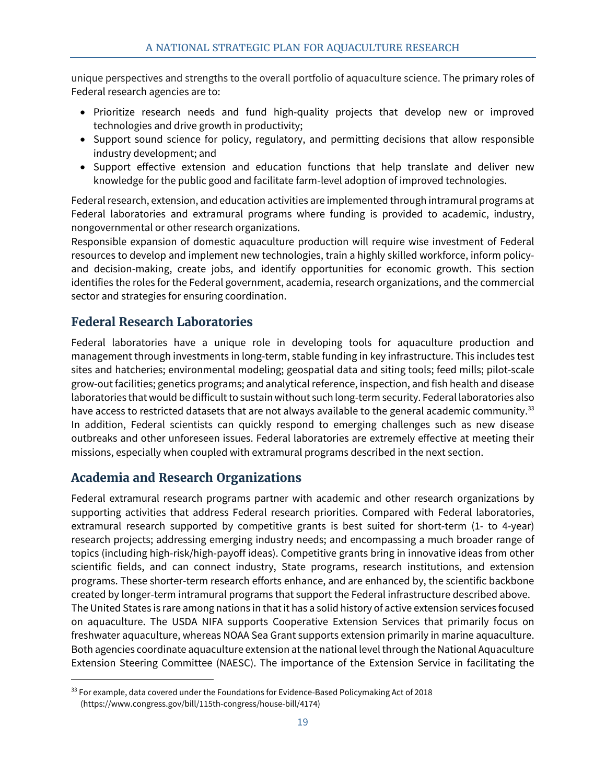unique perspectives and strengths to the overall portfolio of aquaculture science. The primary roles of Federal research agencies are to:

- Prioritize research needs and fund high-quality projects that develop new or improved technologies and drive growth in productivity;
- Support sound science for policy, regulatory, and permitting decisions that allow responsible industry development; and
- Support effective extension and education functions that help translate and deliver new knowledge for the public good and facilitate farm-level adoption of improved technologies.

Federal research, extension, and education activities are implemented through intramural programs at Federal laboratories and extramural programs where funding is provided to academic, industry, nongovernmental or other research organizations.

Responsible expansion of domestic aquaculture production will require wise investment of Federal resources to develop and implement new technologies, train a highly skilled workforce, inform policyand decision-making, create jobs, and identify opportunities for economic growth. This section identifies the roles for the Federal government, academia, research organizations, and the commercial sector and strategies for ensuring coordination.

# <span id="page-25-0"></span>**Federal Research Laboratories**

Federal laboratories have a unique role in developing tools for aquaculture production and management through investments in long-term, stable funding in key infrastructure. This includes test sites and hatcheries; environmental modeling; geospatial data and siting tools; feed mills; pilot-scale grow-out facilities; genetics programs; and analytical reference, inspection, and fish health and disease laboratories that would be difficult to sustain without such long-term security. Federal laboratories also have access to restricted datasets that are not always available to the general academic community.<sup>33</sup> In addition, Federal scientists can quickly respond to emerging challenges such as new disease outbreaks and other unforeseen issues. Federal laboratories are extremely effective at meeting their missions, especially when coupled with extramural programs described in the next section.

# <span id="page-25-1"></span>**Academia and Research Organizations**

Federal extramural research programs partner with academic and other research organizations by supporting activities that address Federal research priorities. Compared with Federal laboratories, extramural research supported by competitive grants is best suited for short-term (1- to 4-year) research projects; addressing emerging industry needs; and encompassing a much broader range of topics (including high-risk/high-payoff ideas). Competitive grants bring in innovative ideas from other scientific fields, and can connect industry, State programs, research institutions, and extension programs. These shorter-term research efforts enhance, and are enhanced by, the scientific backbone created by longer-term intramural programs that support the Federal infrastructure described above. The United States is rare among nations in that it has a solid history of active extension services focused on aquaculture. The USDA NIFA supports Cooperative Extension Services that primarily focus on freshwater aquaculture, whereas NOAA Sea Grant supports extension primarily in marine aquaculture. Both agencies coordinate aquaculture extension at the national level through the National Aquaculture Extension Steering Committee (NAESC). The importance of the Extension Service in facilitating the

<sup>33</sup> For example, data covered under the Foundations for Evidence-Based Policymaking Act of 2018 (https://www.congress.gov/bill/115th-congress/house-bill/4174)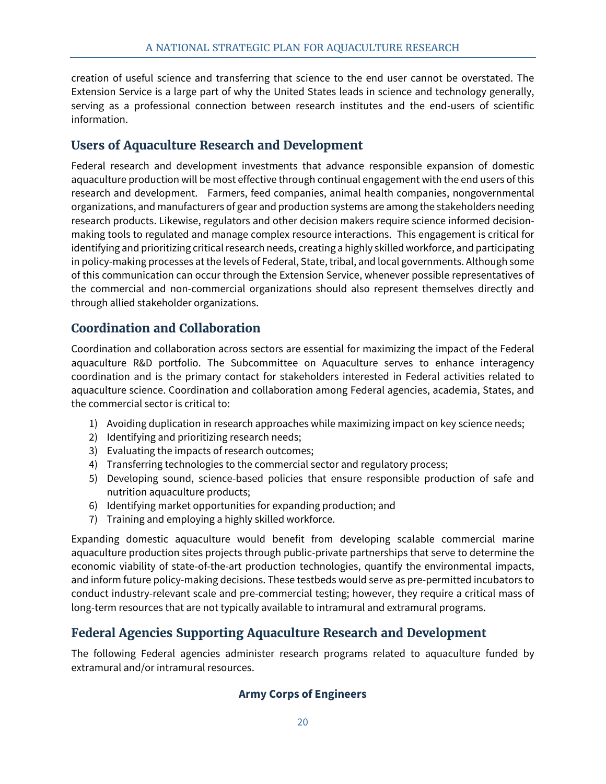creation of useful science and transferring that science to the end user cannot be overstated. The Extension Service is a large part of why the United States leads in science and technology generally, serving as a professional connection between research institutes and the end-users of scientific information.

#### <span id="page-26-0"></span>**Users of Aquaculture Research and Development**

Federal research and development investments that advance responsible expansion of domestic aquaculture production will be most effective through continual engagement with the end users of this research and development. Farmers, feed companies, animal health companies, nongovernmental organizations, and manufacturers of gear and production systems are among the stakeholders needing research products. Likewise, regulators and other decision makers require science informed decisionmaking tools to regulated and manage complex resource interactions. This engagement is critical for identifying and prioritizing critical research needs, creating a highly skilled workforce, and participating in policy-making processes at the levels of Federal, State, tribal, and local governments. Although some of this communication can occur through the Extension Service, whenever possible representatives of the commercial and non-commercial organizations should also represent themselves directly and through allied stakeholder organizations.

# <span id="page-26-1"></span>**Coordination and Collaboration**

Coordination and collaboration across sectors are essential for maximizing the impact of the Federal aquaculture R&D portfolio. The Subcommittee on Aquaculture serves to enhance interagency coordination and is the primary contact for stakeholders interested in Federal activities related to aquaculture science. Coordination and collaboration among Federal agencies, academia, States, and the commercial sector is critical to:

- 1) Avoiding duplication in research approaches while maximizing impact on key science needs;
- 2) Identifying and prioritizing research needs;
- 3) Evaluating the impacts of research outcomes;
- 4) Transferring technologies to the commercial sector and regulatory process;
- 5) Developing sound, science-based policies that ensure responsible production of safe and nutrition aquaculture products;
- 6) Identifying market opportunities for expanding production; and
- 7) Training and employing a highly skilled workforce.

Expanding domestic aquaculture would benefit from developing scalable commercial marine aquaculture production sites projects through public-private partnerships that serve to determine the economic viability of state-of-the-art production technologies, quantify the environmental impacts, and inform future policy-making decisions. These testbeds would serve as pre-permitted incubators to conduct industry-relevant scale and pre-commercial testing; however, they require a critical mass of long-term resources that are not typically available to intramural and extramural programs.

#### <span id="page-26-2"></span>**Federal Agencies Supporting Aquaculture Research and Development**

<span id="page-26-3"></span>The following Federal agencies administer research programs related to aquaculture funded by extramural and/or intramural resources.

#### **Army Corps of Engineers**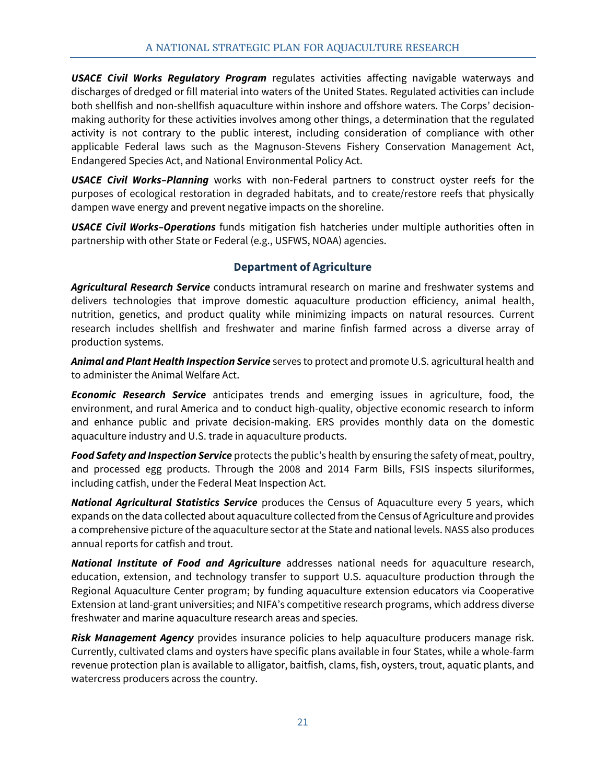*USACE Civil Works Regulatory Program* regulates activities affecting navigable waterways and discharges of dredged or fill material into waters of the United States. Regulated activities can include both shellfish and non-shellfish aquaculture within inshore and offshore waters. The Corps' decisionmaking authority for these activities involves among other things, a determination that the regulated activity is not contrary to the public interest, including consideration of compliance with other applicable Federal laws such as the Magnuson-Stevens Fishery Conservation Management Act, Endangered Species Act, and National Environmental Policy Act.

*USACE Civil Works–Planning* works with non-Federal partners to construct oyster reefs for the purposes of ecological restoration in degraded habitats, and to create/restore reefs that physically dampen wave energy and prevent negative impacts on the shoreline.

*USACE Civil Works–Operations* funds mitigation fish hatcheries under multiple authorities often in partnership with other State or Federal (e.g., USFWS, NOAA) agencies.

#### **Department of Agriculture**

<span id="page-27-0"></span>*Agricultural Research Service* conducts intramural research on marine and freshwater systems and delivers technologies that improve domestic aquaculture production efficiency, animal health, nutrition, genetics, and product quality while minimizing impacts on natural resources. Current research includes shellfish and freshwater and marine finfish farmed across a diverse array of production systems.

*Animal and Plant Health Inspection Service* serves to protect and promote U.S. agricultural health and to administer the Animal Welfare Act.

*Economic Research Service* anticipates trends and emerging issues in agriculture, food, the environment, and rural America and to conduct high-quality, objective economic research to inform and enhance public and private decision-making. ERS provides monthly data on the domestic aquaculture industry and U.S. trade in aquaculture products.

*Food Safety and Inspection Service* protects the public's health by ensuring the safety of meat, poultry, and processed egg products. Through the 2008 and 2014 Farm Bills, FSIS inspects siluriformes, including catfish, under the Federal Meat Inspection Act.

*National Agricultural Statistics Service* produces the Census of Aquaculture every 5 years, which expands on the data collected about aquaculture collected from the Census of Agriculture and provides a comprehensive picture of the aquaculture sector at the State and national levels. NASS also produces annual reports for catfish and trout.

*National Institute of Food and Agriculture* addresses national needs for aquaculture research, education, extension, and technology transfer to support U.S. aquaculture production through the Regional Aquaculture Center program; by funding aquaculture extension educators via Cooperative Extension at land-grant universities; and NIFA's competitive research programs, which address diverse freshwater and marine aquaculture research areas and species.

*Risk Management Agency* provides insurance policies to help aquaculture producers manage risk. Currently, cultivated clams and oysters have specific plans available in four States, while a whole-farm revenue protection plan is available to alligator, baitfish, clams, fish, oysters, trout, aquatic plants, and watercress producers across the country.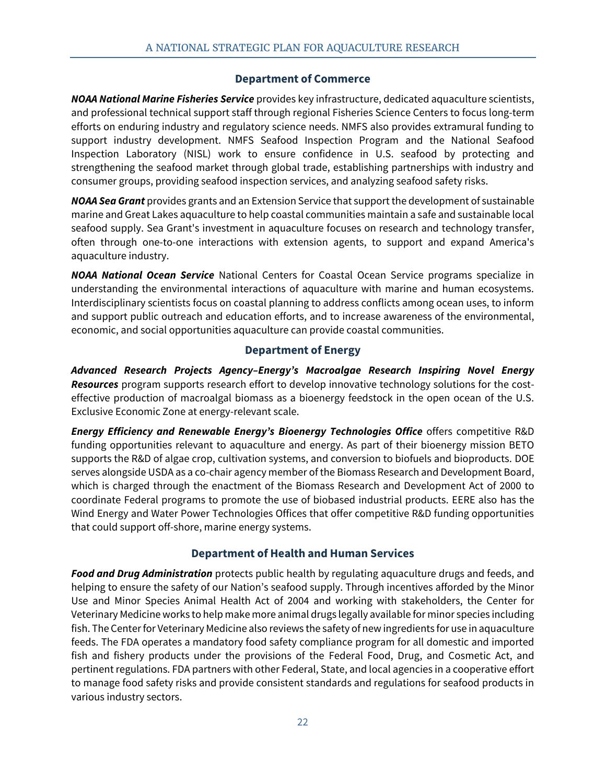#### **Department of Commerce**

<span id="page-28-0"></span>*NOAA National Marine Fisheries Service* provides key infrastructure, dedicated aquaculture scientists, and professional technical support staff through regional Fisheries Science Centers to focus long-term efforts on enduring industry and regulatory science needs. NMFS also provides extramural funding to support industry development. NMFS Seafood Inspection Program and the National Seafood Inspection Laboratory (NISL) work to ensure confidence in U.S. seafood by protecting and strengthening the seafood market through global trade, establishing partnerships with industry and consumer groups, providing seafood inspection services, and analyzing seafood safety risks.

*NOAA Sea Grant* provides grants and an Extension Service that support the development of sustainable marine and Great Lakes aquaculture to help coastal communities maintain a safe and sustainable local seafood supply. Sea Grant's investment in aquaculture focuses on research and technology transfer, often through one-to-one interactions with extension agents, to support and expand America's aquaculture industry.

*NOAA National Ocean Service* National Centers for Coastal Ocean Service programs specialize in understanding the environmental interactions of aquaculture with marine and human ecosystems. Interdisciplinary scientists focus on coastal planning to address conflicts among ocean uses, to inform and support public outreach and education efforts, and to increase awareness of the environmental, economic, and social opportunities aquaculture can provide coastal communities.

#### **Department of Energy**

<span id="page-28-1"></span>*Advanced Research Projects Agency–Energy's Macroalgae Research Inspiring Novel Energy Resources* program supports research effort to develop innovative technology solutions for the costeffective production of macroalgal biomass as a bioenergy feedstock in the open ocean of the U.S. Exclusive Economic Zone at energy-relevant scale.

*Energy Efficiency and Renewable Energy's Bioenergy Technologies Office* offers competitive R&D funding opportunities relevant to aquaculture and energy. As part of their bioenergy mission BETO supports the R&D of algae crop, cultivation systems, and conversion to biofuels and bioproducts. DOE serves alongside USDA as a co-chair agency member of the Biomass Research and Development Board, which is charged through the enactment of the Biomass Research and Development Act of 2000 to coordinate Federal programs to promote the use of biobased industrial products. EERE also has the Wind Energy and Water Power Technologies Offices that offer competitive R&D funding opportunities that could support off-shore, marine energy systems.

#### **Department of Health and Human Services**

<span id="page-28-2"></span>*Food and Drug Administration* protects public health by regulating aquaculture drugs and feeds, and helping to ensure the safety of our Nation's seafood supply. Through incentives afforded by the Minor Use and Minor Species Animal Health Act of 2004 and working with stakeholders, the Center for Veterinary Medicine works to help make more animal drugs legally available for minor species including fish. The Center for Veterinary Medicine also reviews the safety of new ingredients for use in aquaculture feeds. The FDA operates a mandatory food safety compliance program for all domestic and imported fish and fishery products under the provisions of the Federal Food, Drug, and Cosmetic Act, and pertinent regulations. FDA partners with other Federal, State, and local agencies in a cooperative effort to manage food safety risks and provide consistent standards and regulations for seafood products in various industry sectors.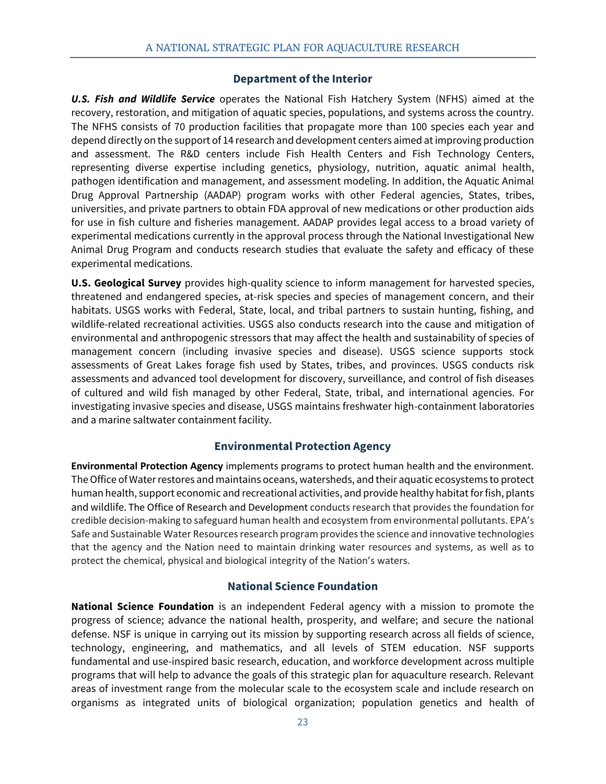#### **Department of the Interior**

<span id="page-29-0"></span>*U.S. Fish and Wildlife Service* operates the National Fish Hatchery System (NFHS) aimed at the recovery, restoration, and mitigation of aquatic species, populations, and systems across the country. The NFHS consists of 70 production facilities that propagate more than 100 species each year and depend directly on the support of 14 research and development centers aimed at improving production and assessment. The R&D centers include Fish Health Centers and Fish Technology Centers, representing diverse expertise including genetics, physiology, nutrition, aquatic animal health, pathogen identification and management, and assessment modeling. In addition, the Aquatic Animal Drug Approval Partnership (AADAP) program works with other Federal agencies, States, tribes, universities, and private partners to obtain FDA approval of new medications or other production aids for use in fish culture and fisheries management. AADAP provides legal access to a broad variety of experimental medications currently in the approval process through the National Investigational New Animal Drug Program and conducts research studies that evaluate the safety and efficacy of these experimental medications.

**U.S. Geological Survey** provides high-quality science to inform management for harvested species, threatened and endangered species, at-risk species and species of management concern, and their habitats. USGS works with Federal, State, local, and tribal partners to sustain hunting, fishing, and wildlife-related recreational activities. USGS also conducts research into the cause and mitigation of environmental and anthropogenic stressors that may affect the health and sustainability of species of management concern (including invasive species and disease). USGS science supports stock assessments of Great Lakes forage fish used by States, tribes, and provinces. USGS conducts risk assessments and advanced tool development for discovery, surveillance, and control of fish diseases of cultured and wild fish managed by other Federal, State, tribal, and international agencies. For investigating invasive species and disease, USGS maintains freshwater high-containment laboratories and a marine saltwater containment facility.

#### **Environmental Protection Agency**

<span id="page-29-1"></span>**Environmental Protection Agency** implements programs to protect human health and the environment. The Office of Water restores and maintains oceans, watersheds, and their aquatic ecosystems to protect human health, support economic and recreational activities, and provide healthy habitat for fish, plants and wildlife. The Office of Research and Development conducts research that provides the foundation for credible decision-making to safeguard human health and ecosystem from environmental pollutants. EPA's Safe and Sustainable Water Resources research program provides the science and innovative technologies that the agency and the Nation need to maintain drinking water resources and systems, as well as to protect the chemical, physical and biological integrity of the Nation's waters.

#### **National Science Foundation**

<span id="page-29-2"></span>**National Science Foundation** is an independent Federal agency with a mission to promote the progress of science; advance the national health, prosperity, and welfare; and secure the national defense. NSF is unique in carrying out its mission by supporting research across all fields of science, technology, engineering, and mathematics, and all levels of STEM education. NSF supports fundamental and use-inspired basic research, education, and workforce development across multiple programs that will help to advance the goals of this strategic plan for aquaculture research. Relevant areas of investment range from the molecular scale to the ecosystem scale and include research on organisms as integrated units of biological organization; population genetics and health of